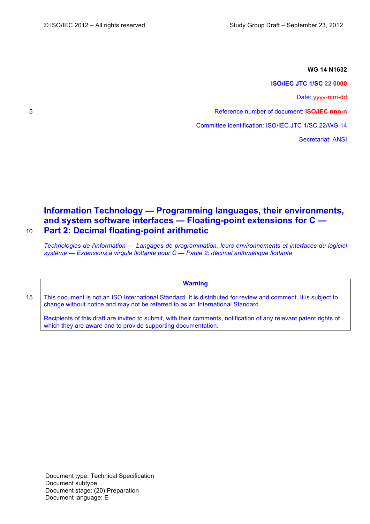### **WG 14 N1632**

**ISO/IEC JTC 1/SC 22 0000**

Date: yyyy-mm-dd

5 Reference number of document: **ISO/IEC nnn-n**

Committee identification: ISO/IEC JTC 1/SC 22/WG 14

Secretariat: ANSI

# **Information Technology — Programming languages, their environments, and system software interfaces — Floating-point extensions for C —** 10 **Part 2: Decimal floating-point arithmetic**

*Technologies de l'information — Langages de programmation, leurs environnements et interfaces du logiciel système — Extensions à virgule flottante pour C — Partie 2: décimal arithmétique flottante*

**Warning**

15 | This document is not an ISO International Standard. It is distributed for review and comment. It is subject to change without notice and may not be referred to as an International Standard.

Recipients of this draft are invited to submit, with their comments, notification of any relevant patent rights of which they are aware and to provide supporting documentation.

Document type: Technical Specification Document subtype: Document stage: (20) Preparation Document language: E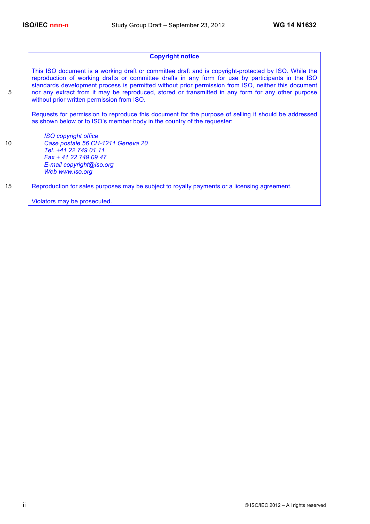# **Copyright notice**

This ISO document is a working draft or committee draft and is copyright-protected by ISO. While the reproduction of working drafts or committee drafts in any form for use by participants in the ISO standards development process is permitted without prior permission from ISO, neither this document 5 nor any extract from it may be reproduced, stored or transmitted in any form for any other purpose without prior written permission from ISO.

Requests for permission to reproduce this document for the purpose of selling it should be addressed as shown below or to ISO's member body in the country of the requester:

*ISO copyright office* 10 *Case postale 56 CH-1211 Geneva 20 Tel. +41 22 749 01 11 Fax + 41 22 749 09 47 E-mail copyright@iso.org Web www.iso.org*

15 Reproduction for sales purposes may be subject to royalty payments or a licensing agreement.

Violators may be prosecuted.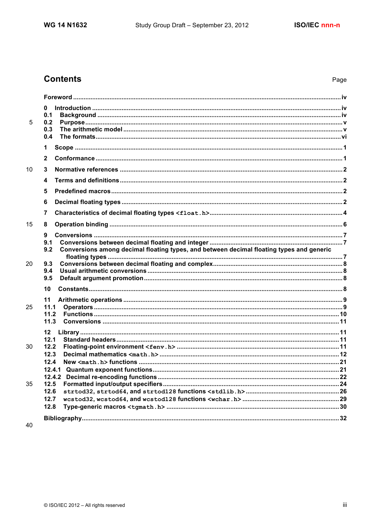# **Contents**

| 5  | 0<br>0.1<br>0.2                                                                                        |  |
|----|--------------------------------------------------------------------------------------------------------|--|
|    | 0.3<br>0.4                                                                                             |  |
|    | 1                                                                                                      |  |
|    | $\mathbf{2}$                                                                                           |  |
| 10 | 3                                                                                                      |  |
|    | 4                                                                                                      |  |
|    | 5                                                                                                      |  |
|    | 6                                                                                                      |  |
|    | 7                                                                                                      |  |
| 15 | 8                                                                                                      |  |
|    | 9                                                                                                      |  |
|    | 9.1<br>Conversions among decimal floating types, and between decimal floating types and generic<br>9.2 |  |
| 20 |                                                                                                        |  |
|    | 9.3<br>9.4                                                                                             |  |
|    | 9.5                                                                                                    |  |
|    | 10                                                                                                     |  |
|    | 11                                                                                                     |  |
| 25 | 11.1<br>11.2                                                                                           |  |
|    | 11.3                                                                                                   |  |
|    | $12 \,$                                                                                                |  |
|    | 12.1                                                                                                   |  |
| 30 | 12.2<br>12.3                                                                                           |  |
|    | 12.4                                                                                                   |  |
|    | 12.4.1                                                                                                 |  |
|    | 12.4.2                                                                                                 |  |
| 35 | 12.5                                                                                                   |  |
|    | 12.6                                                                                                   |  |
|    | 12.7                                                                                                   |  |
|    | 12.8                                                                                                   |  |
| 40 |                                                                                                        |  |
|    |                                                                                                        |  |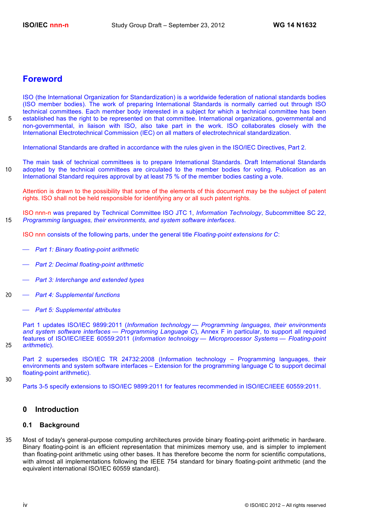# **Foreword**

ISO (the International Organization for Standardization) is a worldwide federation of national standards bodies (ISO member bodies). The work of preparing International Standards is normally carried out through ISO technical committees. Each member body interested in a subject for which a technical committee has been 5 established has the right to be represented on that committee. International organizations, governmental and non-governmental, in liaison with ISO, also take part in the work. ISO collaborates closely with the International Electrotechnical Commission (IEC) on all matters of electrotechnical standardization.

International Standards are drafted in accordance with the rules given in the ISO/IEC Directives, Part 2.

The main task of technical committees is to prepare International Standards. Draft International Standards 10 adopted by the technical committees are circulated to the member bodies for voting. Publication as an International Standard requires approval by at least 75 % of the member bodies casting a vote.

Attention is drawn to the possibility that some of the elements of this document may be the subject of patent rights. ISO shall not be held responsible for identifying any or all such patent rights.

ISO nnn-n was prepared by Technical Committee ISO JTC 1, *Information Technology*, Subcommittee SC 22, 15 *Programming languages, their environments, and system software interfaces*.

ISO nnn consists of the following parts, under the general title *Floating-point extensions for C*:

- ⎯ *Part 1: Binary floating-point arithmetic*
- ⎯ *Part 2: Decimal floating-point arithmetic*
- ⎯ *Part 3: Interchange and extended types*
- 20 ⎯ *Part 4: Supplemental functions*
	- ⎯ *Part 5: Supplemental attributes*

Part 1 updates ISO/IEC 9899:2011 (*Information technology — Programming languages, their environments and system software interfaces — Programming Language C*), Annex F in particular, to support all required features of ISO/IEC/IEEE 60559:2011 (*Information technology — Microprocessor Systems — Floating-point*  25 *arithmetic*).

- Part 2 supersedes ISO/IEC TR 24732:2008 (Information technology Programming languages, their environments and system software interfaces – Extension for the programming language C to support decimal floating-point arithmetic).
- 30

Parts 3-5 specify extensions to ISO/IEC 9899:2011 for features recommended in ISO/IEC/IEEE 60559:2011.

# **0 Introduction**

# **0.1 Background**

35 Most of today's general-purpose computing architectures provide binary floating-point arithmetic in hardware. Binary floating-point is an efficient representation that minimizes memory use, and is simpler to implement than floating-point arithmetic using other bases. It has therefore become the norm for scientific computations, with almost all implementations following the IEEE 754 standard for binary floating-point arithmetic (and the equivalent international ISO/IEC 60559 standard).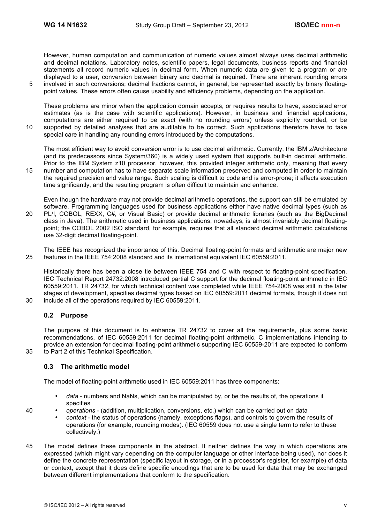However, human computation and communication of numeric values almost always uses decimal arithmetic and decimal notations. Laboratory notes, scientific papers, legal documents, business reports and financial statements all record numeric values in decimal form. When numeric data are given to a program or are displayed to a user, conversion between binary and decimal is required. There are inherent rounding errors

5 involved in such conversions; decimal fractions cannot, in general, be represented exactly by binary floatingpoint values. These errors often cause usability and efficiency problems, depending on the application.

These problems are minor when the application domain accepts, or requires results to have, associated error estimates (as is the case with scientific applications). However, in business and financial applications, computations are either required to be exact (with no rounding errors) unless explicitly rounded, or be 10 supported by detailed analyses that are auditable to be correct. Such applications therefore have to take special care in handling any rounding errors introduced by the computations.

The most efficient way to avoid conversion error is to use decimal arithmetic. Currently, the IBM z/Architecture (and its predecessors since System/360) is a widely used system that supports built-in decimal arithmetic. Prior to the IBM System z10 processor, however, this provided integer arithmetic only, meaning that every

15 number and computation has to have separate scale information preserved and computed in order to maintain the required precision and value range. Such scaling is difficult to code and is error-prone; it affects execution time significantly, and the resulting program is often difficult to maintain and enhance.

Even though the hardware may not provide decimal arithmetic operations, the support can still be emulated by software. Programming languages used for business applications either have native decimal types (such as 20 PL/I, COBOL, REXX, C#, or Visual Basic) or provide decimal arithmetic libraries (such as the BigDecimal class in Java). The arithmetic used in business applications, nowadays, is almost invariably decimal floatingpoint; the COBOL 2002 ISO standard, for example, requires that all standard decimal arithmetic calculations use 32-digit decimal floating-point.

The IEEE has recognized the importance of this. Decimal floating-point formats and arithmetic are major new 25 features in the IEEE 754:2008 standard and its international equivalent IEC 60559:2011.

Historically there has been a close tie between IEEE 754 and C with respect to floating-point specification. IEC Technical Report 24732:2008 introduced partial C support for the decimal floating-point arithmetic in IEC 60559:2011. TR 24732, for which technical content was completed while IEEE 754-2008 was still in the later stages of development, specifies decimal types based on IEC 60559:2011 decimal formats, though it does not 30 include all of the operations required by IEC 60559:2011.

# **0.2 Purpose**

The purpose of this document is to enhance TR 24732 to cover all the requirements, plus some basic recommendations, of IEC 60559:2011 for decimal floating-point arithmetic. C implementations intending to provide an extension for decimal floating-point arithmetic supporting IEC 60559-2011 are expected to conform 35 to Part 2 of this Technical Specification.

**0.3 The arithmetic model**

The model of floating-point arithmetic used in IEC 60559:2011 has three components:

- *data* numbers and NaNs, which can be manipulated by, or be the results of, the operations it specifies
- 40 *operations* (addition, multiplication, conversions, etc.) which can be carried out on data
	- *context* the status of operations (namely, exceptions flags), and controls to govern the results of operations (for example, rounding modes). (IEC 60559 does not use a single term to refer to these collectively.)
- 45 The model defines these components in the abstract. It neither defines the way in which operations are expressed (which might vary depending on the computer language or other interface being used), nor does it define the concrete representation (specific layout in storage, or in a processor's register, for example) of data or context, except that it does define specific encodings that are to be used for data that may be exchanged between different implementations that conform to the specification.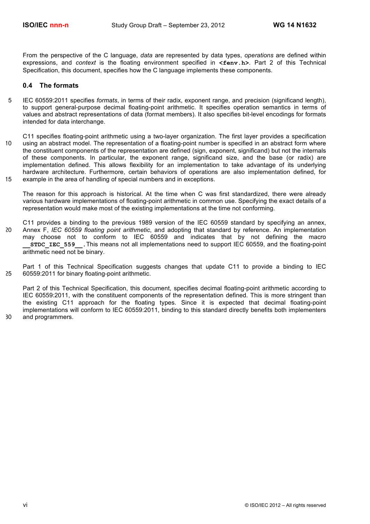From the perspective of the C language, *data* are represented by data types, *operations* are defined within expressions, and *context* is the floating environment specified in **<fenv.h>**. Part 2 of this Technical Specification, this document, specifies how the C language implements these components.

# **0.4 The formats**

- 5 IEC 60559:2011 specifies *formats*, in terms of their radix, exponent range, and precision (significand length), to support general-purpose decimal floating-point arithmetic. It specifies operation semantics in terms of values and abstract representations of data (format members). It also specifies bit-level encodings for formats intended for data interchange.
- C11 specifies floating-point arithmetic using a two-layer organization. The first layer provides a specification 10 using an abstract model. The representation of a floating-point number is specified in an abstract form where the constituent components of the representation are defined (sign, exponent, significand) but not the internals of these components. In particular, the exponent range, significand size, and the base (or radix) are implementation defined. This allows flexibility for an implementation to take advantage of its underlying hardware architecture. Furthermore, certain behaviors of operations are also implementation defined, for 15 example in the area of handling of special numbers and in exceptions.
	- The reason for this approach is historical. At the time when C was first standardized, there were already various hardware implementations of floating-point arithmetic in common use. Specifying the exact details of a representation would make most of the existing implementations at the time not conforming.
- C11 provides a binding to the previous 1989 version of the IEC 60559 standard by specifying an annex, 20 Annex F, *IEC 60559 floating point arithmetic*, and adopting that standard by reference. An implementation may choose not to conform to IEC 60559 and indicates that by not defining the macro **\_\_STDC\_IEC\_559\_\_**.This means not all implementations need to support IEC 60559, and the floating-point arithmetic need not be binary.
- Part 1 of this Technical Specification suggests changes that update C11 to provide a binding to IEC 25 60559:2011 for binary floating-point arithmetic.

Part 2 of this Technical Specification, this document, specifies decimal floating-point arithmetic according to IEC 60559:2011, with the constituent components of the representation defined. This is more stringent than the existing C11 approach for the floating types. Since it is expected that decimal floating-point implementations will conform to IEC 60559:2011, binding to this standard directly benefits both implementers 30 and programmers.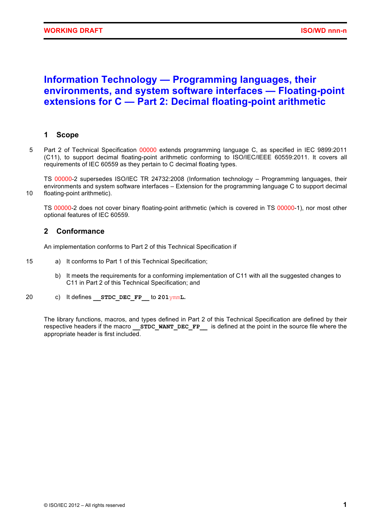# **Information Technology — Programming languages, their environments, and system software interfaces — Floating-point extensions for C — Part 2: Decimal floating-point arithmetic**

# **1 Scope**

5 Part 2 of Technical Specification 00000 extends programming language C, as specified in IEC 9899:2011 (C11), to support decimal floating-point arithmetic conforming to ISO/IEC/IEEE 60559:2011. It covers all requirements of IEC 60559 as they pertain to C decimal floating types.

TS 00000-2 supersedes ISO/IEC TR 24732:2008 (Information technology – Programming languages, their environments and system software interfaces – Extension for the programming language C to support decimal 10 floating-point arithmetic).

TS 00000-2 does not cover binary floating-point arithmetic (which is covered in TS 00000-1), nor most other optional features of IEC 60559.

# **2 Conformance**

An implementation conforms to Part 2 of this Technical Specification if

- 15 a) It conforms to Part 1 of this Technical Specification;
	- b) It meets the requirements for a conforming implementation of C11 with all the suggested changes to C11 in Part 2 of this Technical Specification; and
- 20 c) It defines **\_\_STDC\_DEC\_FP\_\_** to **201**ymm**L.**

The library functions, macros, and types defined in Part 2 of this Technical Specification are defined by their respective headers if the macro **STDC WANT DEC FP** is defined at the point in the source file where the appropriate header is first included.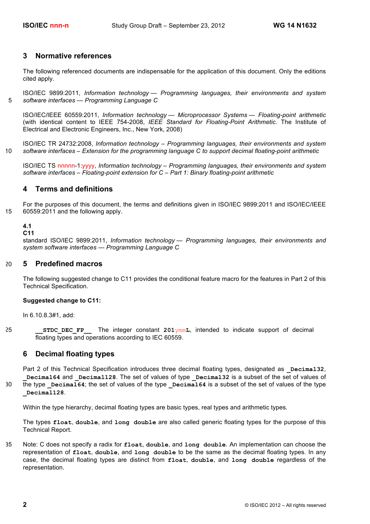# **3 Normative references**

The following referenced documents are indispensable for the application of this document. Only the editions cited apply.

ISO/IEC 9899:2011, *Information technology — Programming languages, their environments and system*  5 *software interfaces — Programming Language C*

ISO/IEC/IEEE 60559:2011, *Information technology — Microprocessor Systems — Floating-point arithmetic* (with identical content to IEEE 754-2008, *IEEE Standard for Floating-Point Arithmetic*. The Institute of Electrical and Electronic Engineers, Inc., New York, 2008)

ISO/IEC TR 24732:2008, *Information technology – Programming languages, their environments and system*  10 *software interfaces – Extension for the programming language C to support decimal floating-point arithmetic*

ISO/IEC TS nnnnn-1:yyyy, *Information technology – Programming languages, their environments and system software interfaces – Floating-point extension for C – Part 1: Binary floating-point arithmetic*

# **4 Terms and definitions**

For the purposes of this document, the terms and definitions given in ISO/IEC 9899:2011 and ISO/IEC/IEEE 15 60559:2011 and the following apply.

# **4.1**

# **C11**

standard ISO/IEC 9899:2011, *Information technology — Programming languages, their environments and system software interfaces — Programming Language C*

# 20 **5 Predefined macros**

The following suggested change to C11 provides the conditional feature macro for the features in Part 2 of this Technical Specification.

### **Suggested change to C11:**

In 6.10.8.3#1, add:

25 **\_\_STDC\_DEC\_FP\_\_** The integer constant **201**ymm**L**, intended to indicate support of decimal floating types and operations according to IEC 60559.

# **6 Decimal floating types**

Part 2 of this Technical Specification introduces three decimal floating types, designated as **Decimal32**, **Decimal64** and **\_Decimal128**. The set of values of type **Decimal32** is a subset of the set of values of 30 the type **Decimal64**; the set of values of the type **Decimal64** is a subset of the set of values of the type **\_Decimal128**.

Within the type hierarchy, decimal floating types are basic types, real types and arithmetic types.

The types **float**, **double**, and **long double** are also called generic floating types for the purpose of this Technical Report.

35 Note: C does not specify a radix for **float**, **double**, and **long double**. An implementation can choose the representation of **float**, **double**, and **long double** to be the same as the decimal floating types. In any case, the decimal floating types are distinct from **float**, **double**, and **long double** regardless of the representation.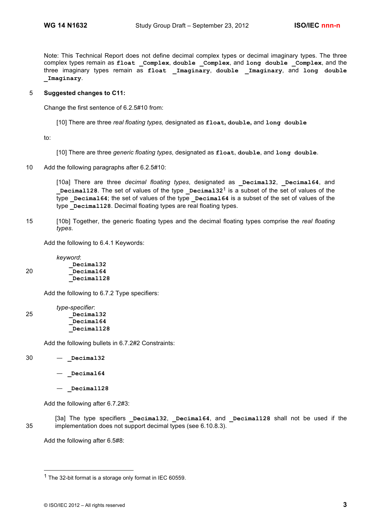Note: This Technical Report does not define decimal complex types or decimal imaginary types. The three complex types remain as **float \_Complex**, **double \_Complex**, and **long double \_Complex**, and the three imaginary types remain as **float \_Imaginary**, **double \_Imaginary**, and **long double \_Imaginary**.

### 5 **Suggested changes to C11:**

Change the first sentence of 6.2.5#10 from:

[10] There are three *real floating types,* designated as **float, double,** and **long double**

to:

- [10] There are three *generic floating types*, designated as **float**, **double**, and **long double**.
- 10 Add the following paragraphs after 6.2.5#10:

[10a] There are three *decimal floating types*, designated as **\_Decimal32**, **\_Decimal64**, and **Decimal128**. The set of values of the type **Decimal32<sup>1</sup>** is a subset of the set of values of the type **Decimal64**; the set of values of the type **Decimal64** is a subset of the set of values of the type **Decimal128**. Decimal floating types are real floating types.

15 [10b] Together, the generic floating types and the decimal floating types comprise the *real floating types*.

Add the following to 6.4.1 Keywords:

*keyword*: **\_Decimal32** 20 **\_Decimal64 \_Decimal128**

Add the following to 6.7.2 Type specifiers:

|    | type-specifier: |
|----|-----------------|
| 25 | Decimal32       |
|    | Decimal64       |
|    | Decimal128      |

Add the following bullets in 6.7.2#2 Constraints:

30 — **\_Decimal32**

- **\_Decimal64**
- **\_Decimal128**

Add the following after 6.7.2#3:

```
[3a] The type specifiers _Decimal32, _Decimal64, and _Decimal128 shall not be used if the 
35 implementation does not support decimal types (see 6.10.8.3).
```
Add the following after 6.5#8:

 <sup>1</sup> The 32-bit format is a storage only format in IEC 60559.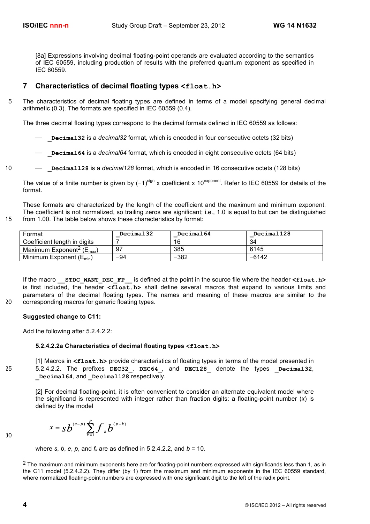[8a] Expressions involving decimal floating-point operands are evaluated according to the semantics of IEC 60559, including production of results with the preferred quantum exponent as specified in IEC 60559.

# **7 Characteristics of decimal floating types <float.h>**

5 The characteristics of decimal floating types are defined in terms of a model specifying general decimal arithmetic (0.3). The formats are specified in IEC 60559 (0.4).

The three decimal floating types correspond to the decimal formats defined in IEC 60559 as follows:

- ⎯ **\_Decimal32** is a *decimal32* format, which is encoded in four consecutive octets (32 bits)
- **Decimal64** is a *decimal64* format, which is encoded in eight consecutive octets (64 bits)
- 10 ⎯ **\_Decimal128** is a *decimal128* format, which is encoded in 16 consecutive octets (128 bits)

The value of a finite number is given by (−1)<sup>sign</sup> x coefficient x 10<sup>exponent</sup>. Refer to IEC 60559 for details of the format.

These formats are characterized by the length of the coefficient and the maximum and minimum exponent. The coefficient is not normalized, so trailing zeros are significant; i.e., 1.0 is equal to but can be distinguished 15 from 1.00. The table below shows these characteristics by format:

Coefficient length in digits | 7 16 16 16 16 17 16 17 16 17 16 17 16 17 17 18 19 18 19 18 19 18 1

| Format                                             | Decimal32 | Decimal64 | Decimal128 |
|----------------------------------------------------|-----------|-----------|------------|
| Coefficient length in digits                       |           | 16        | 34         |
| Maximum Exponent <sup>2</sup> ( $E_{\text{max}}$ ) | 97        | 385       | 6145       |
| Minimum Exponent $(E_{min})$                       | $-94$     | $-382$    | $-6142$    |

If the macro **\_\_STDC\_WANT\_DEC\_FP\_\_** is defined at the point in the source file where the header **<float.h>** is first included, the header **<float.h>** shall define several macros that expand to various limits and parameters of the decimal floating types. The names and meaning of these macros are similar to the 20 corresponding macros for generic floating types.

**Suggested change to C11:**

Add the following after 5.2.4.2.2:

### **5.2.4.2.2a Characteristics of decimal floating types <float.h>**

[1] Macros in **<float.h>** provide characteristics of floating types in terms of the model presented in 25 5.2.4.2.2. The prefixes **DEC32\_**, **DEC64\_**, and **DEC128\_** denote the types **\_Decimal32**, **\_Decimal64**, and **\_Decimal128** respectively.

[2] For decimal floating-point, it is often convenient to consider an alternate equivalent model where the significand is represented with integer rather than fraction digits: a floating-point number (*x*) is defined by the model

$$
x = s b^{(e-p)} \sum_{k=1}^{p} f_k b^{(p-k)}
$$

where *s*, *b*, *e*, *p*, and  $f_k$  are as defined in 5.2.4.2.2, and  $b = 10$ .

30

 $2$  The maximum and minimum exponents here are for floating-point numbers expressed with significands less than 1, as in the C11 model (5.2.4.2.2). They differ (by 1) from the maximum and minimum exponents in the IEC 60559 standard, where normalized floating-point numbers are expressed with one significant digit to the left of the radix point.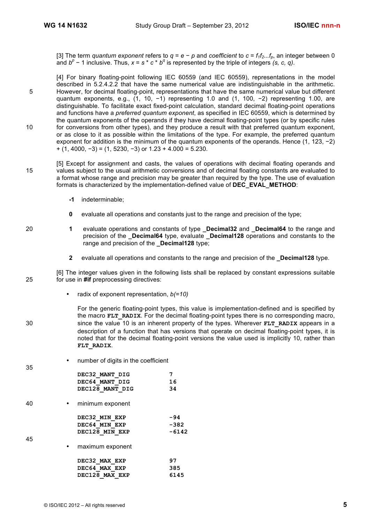[3] The term *quantum exponent* refers to  $q = e - p$  and *coefficient* to  $c = f_1 f_2...f_p$ , an integer between 0 and *b<sup>p</sup>* − 1 inclusive. Thus, *x* = *s* \* *c* \* *b<sup>q</sup>* is represented by the triple of integers *(s, c, q)*.

[4] For binary floating-point following IEC 60559 (and IEC 60559), representations in the model described in 5.2.4.2.2 that have the same numerical value are indistinguishable in the arithmetic. 5 However, for decimal floating-point, representations that have the same numerical value but different quantum exponents, e.g., (1, 10, -1) representing 1.0 and (1, 100, -2) representing 1.00, are distinguishable. To facilitate exact fixed-point calculation, standard decimal floating-point operations and functions have a *preferred quantum exponent*, as specified in IEC 60559, which is determined by the quantum exponents of the operands if they have decimal floating-point types (or by specific rules 10 for conversions from other types), and they produce a result with that preferred quantum exponent, or as close to it as possible within the limitations of the type. For example, the preferred quantum exponent for addition is the minimum of the quantum exponents of the operands. Hence (1, 123, −2)  $+$  (1, 4000,  $-3$ ) = (1, 5230,  $-3$ ) or 1.23 + 4.000 = 5.230.

- [5] Except for assignment and casts, the values of operations with decimal floating operands and 15 values subject to the usual arithmetic conversions and of decimal floating constants are evaluated to a format whose range and precision may be greater than required by the type. The use of evaluation formats is characterized by the implementation-defined value of **DEC\_EVAL\_METHOD**:
	- **-1** indeterminable;
	- **0** evaluate all operations and constants just to the range and precision of the type;
- 20 **1** evaluate operations and constants of type **\_Decimal32** and **\_Decimal64** to the range and precision of the **\_Decimal64** type, evaluate **\_Decimal128** operations and constants to the range and precision of the **Decimal128** type;
	- **2** evaluate all operations and constants to the range and precision of the **\_Decimal128** type.

[6] The integer values given in the following lists shall be replaced by constant expressions suitable 25 for use in **#if** preprocessing directives:

• radix of exponent representation, *b(=10)*

For the generic floating-point types, this value is implementation-defined and is specified by the macro **FLT** RADIX. For the decimal floating-point types there is no corresponding macro, 30 since the value 10 is an inherent property of the types. Wherever **FLT** RADIX appears in a description of a function that has versions that operate on decimal floating-point types, it is noted that for the decimal floating-point versions the value used is implicitly 10, rather than **FLT\_RADIX**.

• number of digits in the coefficient

35

45

**DEC32\_MANT\_DIG 7 DEC64\_MANT\_DIG 16 DEC128\_MANT\_DIG 34** 40 • minimum exponent **DEC32\_MIN\_EXP -94 DEC64\_MIN\_EXP -382 DEC128\_MIN\_EXP -6142** • maximum exponent **DEC32\_MAX\_EXP 97 DEC64\_MAX\_EXP 385**

**DEC128\_MAX\_EXP 6145**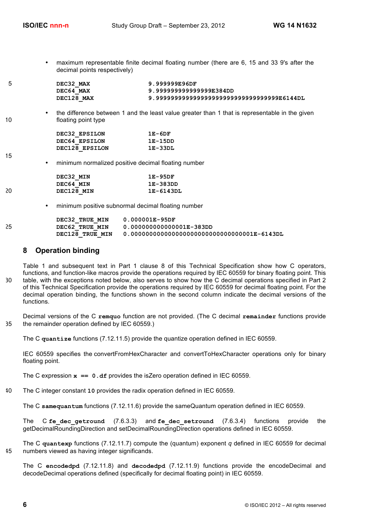15

• maximum representable finite decimal floating number (there are 6, 15 and 33 9's after the decimal points respectively)

| - | DEC32 MAX  | 9.999999E96DF                                |
|---|------------|----------------------------------------------|
|   | DEC64 MAX  | 9.999999999999999E384DD                      |
|   | DEC128 MAX | 9.99999999999999999999999999999999999E6144DL |

• the difference between 1 and the least value greater than 1 that is representable in the given 10 **floating point type** 

| DEC32 EPSILON  | $1E-6DF$  |
|----------------|-----------|
| DEC64 EPSILON  | 1E-15DD   |
| DEC128 EPSILON | $1E-33DL$ |

• minimum normalized positive decimal floating number

|    | DEC32 MIN  | $1E-95DF$ |
|----|------------|-----------|
|    | DEC64 MIN  | 1E-383DD  |
| 20 | DEC128 MIN | 1E-6143DL |

• minimum positive subnormal decimal floating number

|     | DEC32 TRUE MIN  | 0.000001E-95DF                                 |
|-----|-----------------|------------------------------------------------|
| -25 | DEC62 TRUE MIN  | 0.000000000000001E-383DD                       |
|     | DEC128 TRUE MIN | $0.0000000000000000000000000000000001E-6143DL$ |

# **8 Operation binding**

Table 1 and subsequent text in Part 1 clause 8 of this Technical Specification show how C operators, functions, and function-like macros provide the operations required by IEC 60559 for binary floating point. This 30 table, with the exceptions noted below, also serves to show how the C decimal operations specified in Part 2 of this Technical Specification provide the operations required by IEC 60559 for decimal floating point. For the decimal operation binding, the functions shown in the second column indicate the decimal versions of the functions.

Decimal versions of the C **remquo** function are not provided. (The C decimal **remainder** functions provide 35 the remainder operation defined by IEC 60559.)

The C **quantize** functions (7.12.11.5) provide the quantize operation defined in IEC 60559.

IEC 60559 specifies the convertFromHexCharacter and convertToHexCharacter operations only for binary floating point.

The C expression  $x = 0$ . **df** provides the isZero operation defined in IEC 60559.

40 The C integer constant **10** provides the radix operation defined in IEC 60559.

The C **samequantum** functions (7.12.11.6) provide the sameQuantum operation defined in IEC 60559.

The C **fe\_dec\_getround** (7.6.3.3) and **fe\_dec\_setround** (7.6.3.4) functions provide the getDecimalRoundingDirection and setDecimalRoundingDirection operations defined in IEC 60559.

The C **quantexp** functions (7.12.11.7) compute the (quantum) exponent *q* defined in IEC 60559 for decimal 45 numbers viewed as having integer significands.

The C **encodedpd** (7.12.11.8) and **decodedpd** (7.12.11.9) functions provide the encodeDecimal and decodeDecimal operations defined (specifically for decimal floating point) in IEC 60559.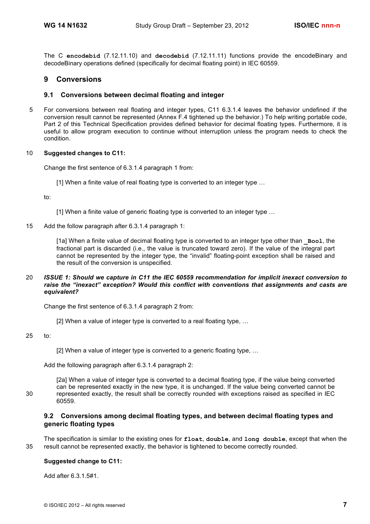The C **encodebid** (7.12.11.10) and **decodebid** (7.12.11.11) functions provide the encodeBinary and decodeBinary operations defined (specifically for decimal floating point) in IEC 60559.

# **9 Conversions**

# **9.1 Conversions between decimal floating and integer**

5 For conversions between real floating and integer types, C11 6.3.1.4 leaves the behavior undefined if the conversion result cannot be represented (Annex F.4 tightened up the behavior.) To help writing portable code, Part 2 of this Technical Specification provides defined behavior for decimal floating types. Furthermore, it is useful to allow program execution to continue without interruption unless the program needs to check the condition.

### 10 **Suggested changes to C11:**

Change the first sentence of 6.3.1.4 paragraph 1 from:

[1] When a finite value of real floating type is converted to an integer type …

to:

[1] When a finite value of generic floating type is converted to an integer type …

### 15 Add the follow paragraph after 6.3.1.4 paragraph 1:

[1a] When a finite value of decimal floating type is converted to an integer type other than **\_Bool**, the fractional part is discarded (i.e., the value is truncated toward zero). If the value of the integral part cannot be represented by the integer type, the "invalid" floating-point exception shall be raised and the result of the conversion is unspecified.

### 20 *ISSUE 1: Should we capture in C11 the IEC 60559 recommendation for implicit inexact conversion to raise the "inexact" exception? Would this conflict with conventions that assignments and casts are equivalent?*

Change the first sentence of 6.3.1.4 paragraph 2 from:

[2] When a value of integer type is converted to a real floating type, …

25 to:

[2] When a value of integer type is converted to a generic floating type, …

Add the following paragraph after 6.3.1.4 paragraph 2:

[2a] When a value of integer type is converted to a decimal floating type, if the value being converted can be represented exactly in the new type, it is unchanged. If the value being converted cannot be 30 represented exactly, the result shall be correctly rounded with exceptions raised as specified in IEC 60559.

# **9.2 Conversions among decimal floating types, and between decimal floating types and generic floating types**

The specification is similar to the existing ones for **float**, **double**, and **long double**, except that when the 35 result cannot be represented exactly, the behavior is tightened to become correctly rounded.

### **Suggested change to C11:**

Add after 6.3.1.5#1.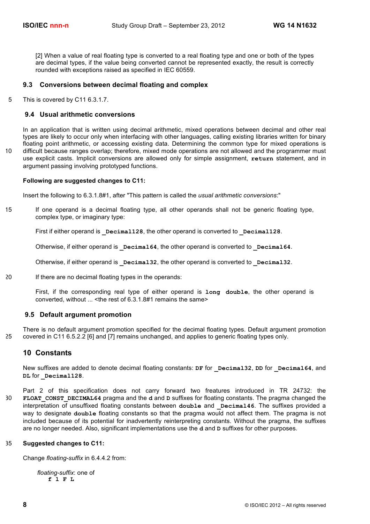[2] When a value of real floating type is converted to a real floating type and one or both of the types are decimal types, if the value being converted cannot be represented exactly, the result is correctly rounded with exceptions raised as specified in IEC 60559.

# **9.3 Conversions between decimal floating and complex**

5 This is covered by C11 6.3.1.7.

# **9.4 Usual arithmetic conversions**

In an application that is written using decimal arithmetic, mixed operations between decimal and other real types are likely to occur only when interfacing with other languages, calling existing libraries written for binary floating point arithmetic, or accessing existing data. Determining the common type for mixed operations is 10 difficult because ranges overlap; therefore, mixed mode operations are not allowed and the programmer must use explicit casts. Implicit conversions are allowed only for simple assignment, **return** statement, and in argument passing involving prototyped functions.

### **Following are suggested changes to C11:**

Insert the following to 6.3.1.8#1, after "This pattern is called the *usual arithmetic conversions*:"

15 If one operand is a decimal floating type, all other operands shall not be generic floating type, complex type, or imaginary type:

First if either operand is **Decimal128**, the other operand is converted to **Decimal128**.

Otherwise, if either operand is **Decimal64**, the other operand is converted to **Decimal64**.

Otherwise, if either operand is **Decimal32**, the other operand is converted to **Decimal32**.

20 If there are no decimal floating types in the operands:

First, if the corresponding real type of either operand is **long double**, the other operand is converted, without ... < the rest of 6.3.1.8#1 remains the same>

### **9.5 Default argument promotion**

There is no default argument promotion specified for the decimal floating types. Default argument promotion 25 covered in C11 6.5.2.2 [6] and [7] remains unchanged, and applies to generic floating types only.

# **10 Constants**

New suffixes are added to denote decimal floating constants: **DF** for **\_Decimal32**, **DD** for **\_Decimal64**, and DL for **Decimal128**.

Part 2 of this specification does not carry forward two freatures introduced in TR 24732: the 30 **FLOAT\_CONST\_DECIMAL64** pragma and the **d** and **D** suffixes for floating constants. The pragma changed the interpretation of unsuffixed floating constants between **double** and **Decimal46**. The suffixes provided a way to designate **double** floating constants so that the pragma would not affect them. The pragma is not included because of its potential for inadvertently reinterpreting constants. Without the pragma, the suffixes are no longer needed. Also, significant implementations use the **d** and **D** suffixes for other purposes.

### 35 **Suggested changes to C11:**

Change *floating-suffix* in 6.4.4.2 from:

*floating-suffix*: one of **f l F L**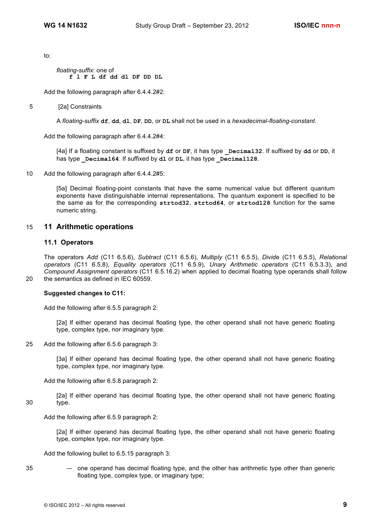to:

*floating-suffix*: one of **f l F L df dd dl DF DD DL**

Add the following paragraph after 6.4.4.2#2:

### 5 [2a] Constraints

A *floating-suffix* **df**, **dd**, **dl**, **DF**, **DD**, or **DL** shall not be used in a *hexadecimal-floating-constant*.

Add the following paragraph after 6.4.4.2#4:

[4a] If a floating constant is suffixed by **df** or **DF**, it has type **\_Decimal32**. If suffixed by **dd** or **DD**, it has type **Decimal64**. If suffixed by **dl** or **DL**, it has type **Decimal128**.

10 Add the following paragraph after 6.4.4.2#5:

[5a] Decimal floating-point constants that have the same numerical value but different quantum exponents have distinguishable internal representations. The quantum exponent is specified to be the same as for the corresponding **strtod32**, **strtod64**, or **strtod128** function for the same numeric string.

# 15 **11 Arithmetic operations**

### **11.1 Operators**

The operators *Add* (C11 6.5.6), *Subtract* (C11 6.5.6), *Multiply* (C11 6.5.5), *Divide* (C11 6.5.5), *Relational operators* (C11 6.5.8), *Equality operators* (C11 6.5.9), *Unary Arithmetic operators* (C11 6.5.3.3), and *Compound Assignment operators* (C11 6.5.16.2) when applied to decimal floating type operands shall follow 20 the semantics as defined in IEC 60559.

### **Suggested changes to C11:**

Add the following after 6.5.5 paragraph 2:

[2a] If either operand has decimal floating type, the other operand shall not have generic floating type, complex type, nor imaginary type.

25 Add the following after 6.5.6 paragraph 3:

[3a] If either operand has decimal floating type, the other operand shall not have generic floating type, complex type, nor imaginary type.

Add the following after 6.5.8 paragraph 2:

[2a] If either operand has decimal floating type, the other operand shall not have generic floating 30 type.

Add the following after 6.5.9 paragraph 2:

[2a] If either operand has decimal floating type, the other operand shall not have generic floating type, complex type, nor imaginary type.

Add the following bullet to 6.5.15 paragraph 3:

35 — one operand has decimal floating type, and the other has arithmetic type other than generic floating type, complex type, or imaginary type;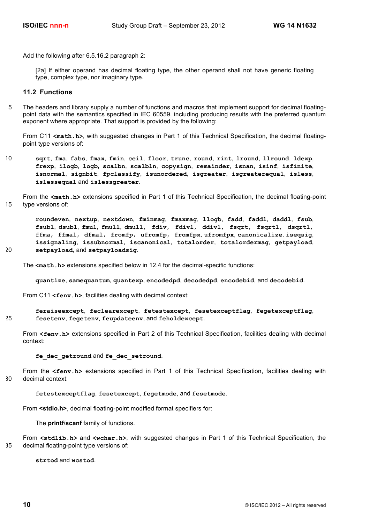Add the following after 6.5.16.2 paragraph 2:

[2a] If either operand has decimal floating type, the other operand shall not have generic floating type, complex type, nor imaginary type.

### **11.2 Functions**

5 The headers and library supply a number of functions and macros that implement support for decimal floatingpoint data with the semantics specified in IEC 60559, including producing results with the preferred quantum exponent where appropriate. That support is provided by the following:

From C11 **<math.h>**, with suggested changes in Part 1 of this Technical Specification, the decimal floatingpoint type versions of:

- 10 **sqrt**, **fma**, **fabs**, **fmax**, **fmin**, **ceil**, **floor**, **trunc**, **round**, **rint**, **lround**, **llround**, **ldexp**, **frexp**, **ilogb**, **logb, scalbn**, **scalbln**, **copysign**, **remainder**, **isnan**, **isinf**, **isfinite**, **isnormal**, **signbit**, **fpclassify**, **isunordered**, **isgreater**, **isgreaterequal**, **isless**, **islessequal** and **islessgreater**.
- From the **<math.h>** extensions specified in Part 1 of this Technical Specification, the decimal floating-point 15 type versions of:

**roundeven**, **nextup**, **nextdown**, **fminmag**, **fmaxmag**, **llogb**, **fadd**, **faddl**, **daddl**, **fsub**, **fsubl**, **dsubl**, **fmul**, **fmull**, **dmull**, **fdiv**, **fdivl**, **ddivl**, **fsqrt**, **fsqrtl**, **dsqrtl**, **ffma**, **ffmal**, **dfmal**, **fromfp**, **ufromfp**, **fromfpx**, **ufromfpx**, **canonicalize**, **iseqsig**, **issignaling**, **issubnormal**, **iscanonical**, **totalorder**, **totalordermag**, **getpayload**, 20 **setpayload**, and **setpayloadsig**.

The  $\leq$ math.h> extensions specified below in 12.4 for the decimal-specific functions:

**quantize**, **samequantum**, **quantexp**, **encodedpd**, **decodedpd**, **encodebid**, and **decodebid**.

From C11 <fenv.h>, facilities dealing with decimal context:

**feraiseexcept**, **feclearexcept**, **fetestexcept**, **fesetexceptflag**, **fegetexceptflag**, 25 **fesetenv**, **fegetenv**, **feupdateenv**, and **feholdexcept**.

From **<fenv.h>** extensions specified in Part 2 of this Technical Specification, facilities dealing with decimal context:

**fe\_dec\_getround** and **fe\_dec\_setround**.

From the **<fenv.h>** extensions specified in Part 1 of this Technical Specification, facilities dealing with 30 decimal context:

#### **fetestexceptflag**, **fesetexcept**, **fegetmode**, and **fesetmode**.

From **<stdio.h>**, decimal floating-point modified format specifiers for:

The **printf**/**scanf** family of functions.

From **<stdlib.h>** and **<wchar.h>**, with suggested changes in Part 1 of this Technical Specification, the 35 decimal floating-point type versions of:

**strtod** and **wcstod**.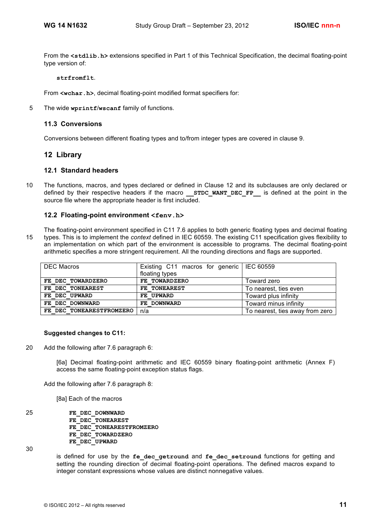From the **<stdlib.h>** extensions specified in Part 1 of this Technical Specification, the decimal floating-point type version of:

**strfromflt**.

From **<wchar.h>**, decimal floating-point modified format specifiers for:

5 The wide **wprintf**/**wscanf** family of functions.

### **11.3 Conversions**

Conversions between different floating types and to/from integer types are covered in clause 9.

# **12 Library**

### **12.1 Standard headers**

10 The functions, macros, and types declared or defined in Clause 12 and its subclauses are only declared or defined by their respective headers if the macro **STDC WANT DEC FP** is defined at the point in the source file where the appropriate header is first included.

# **12.2 Floating-point environment <fenv.h>**

The floating-point environment specified in C11 7.6 applies to both generic floating types and decimal floating 15 types. This is to implement the *context* defined in IEC 60559. The existing C11 specification gives flexibility to an implementation on which part of the environment is accessible to programs. The decimal floating-point arithmetic specifies a more stringent requirement. All the rounding directions and flags are supported.

| DEC Macros               | Existing C11 macros for generic   IEC 60559<br>floating types |                                 |
|--------------------------|---------------------------------------------------------------|---------------------------------|
|                          |                                                               |                                 |
| FE DEC TOWARDZERO        | FE TOWARDZERO                                                 | Toward zero                     |
| FE DEC TONEAREST         | FE TONEAREST                                                  | To nearest, ties even           |
| FE DEC UPWARD            | FE UPWARD                                                     | Toward plus infinity            |
| FE DEC DOWNWARD          | FE DOWNWARD                                                   | Toward minus infinity           |
| FE DEC TONEARESTFROMZERO | n/a                                                           | To nearest, ties away from zero |

### **Suggested changes to C11:**

20 Add the following after 7.6 paragraph 6:

[6a] Decimal floating-point arithmetic and IEC 60559 binary floating-point arithmetic (Annex F) access the same floating-point exception status flags.

Add the following after 7.6 paragraph 8:

[8a] Each of the macros

25 **FE\_DEC\_DOWNWARD FE\_DEC\_TONEAREST FE\_DEC\_TONEARESTFROMZERO FE\_DEC\_TOWARDZERO FE\_DEC\_UPWARD**

30

is defined for use by the fe dec getround and fe dec setround functions for getting and setting the rounding direction of decimal floating-point operations. The defined macros expand to integer constant expressions whose values are distinct nonnegative values.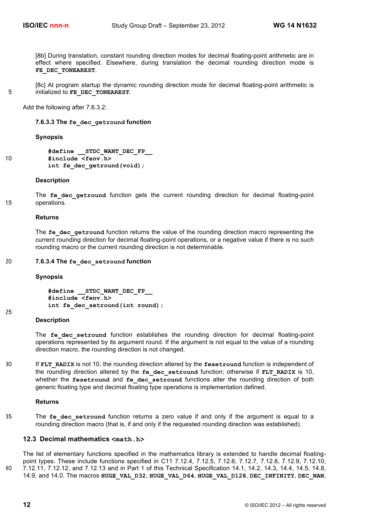[8b] During translation, constant rounding direction modes for decimal floating-point arithmetic are in effect where specified. Elsewhere, during translation the decimal rounding direction mode is **FE\_DEC\_TONEAREST**.

[8c] At program startup the dynamic rounding direction mode for decimal floating-point arithmetic is 5 initialized to **FE\_DEC\_TONEAREST**.

Add the following after 7.6.3.2:

**7.6.3.3 The fe\_dec\_getround function**

### **Synopsis**

|    | #define STDC WANT DEC FP    |  |  |
|----|-----------------------------|--|--|
| 10 | #include <fenv.h></fenv.h>  |  |  |
|    | int fe dec getround (void); |  |  |

### **Description**

The **fe** dec getround function gets the current rounding direction for decimal floating-point 15 operations.

#### **Returns**

The  $fe$  dec<sub>re</sub>tround function returns the value of the rounding direction macro representing the current rounding direction for decimal floating-point operations, or a negative value if there is no such rounding macro or the current rounding direction is not determinable.

### 20 **7.6.3.4 The fe\_dec\_setround function**

### **Synopsis**

**#define \_\_STDC\_WANT\_DEC\_FP\_\_ #include <fenv.h> int fe\_dec\_setround(int round);**

### **Description**

25

The fe dec setround function establishes the rounding direction for decimal floating-point operations represented by its argument round. If the argument is not equal to the value of a rounding direction macro, the rounding direction is not changed.

30 If **FLT\_RADIX** is not 10, the rounding direction altered by the **fesetround** function is independent of the rounding direction altered by the **fe\_dec\_setround** function; otherwise if **FLT\_RADIX** is 10, whether the **fesetround** and **fe** dec setround functions alter the rounding direction of both generic floating type and decimal floating type operations is implementation defined.

### **Returns**

35 The **fe dec setround** function returns a zero value if and only if the argument is equal to a rounding direction macro (that is, if and only if the requested rounding direction was established).

# **12.3 Decimal mathematics <math.h>**

The list of elementary functions specified in the mathematics library is extended to handle decimal floatingpoint types. These include functions specified in C11 7.12.4, 7.12.5, 7.12.6, 7.12.7, 7.12.8, 7.12.9, 7.12.10, 40 7.12.11, 7.12.12, and 7.12.13 and in Part 1 of this Technical Specification 14.1, 14.2, 14.3, 14.4, 14.5, 14.8, 14.9, and 14.0. The macros **HUGE\_VAL\_D32**, **HUGE\_VAL\_D64**, **HUGE\_VAL\_D128**, **DEC\_INFINITY**, **DEC\_NAN**,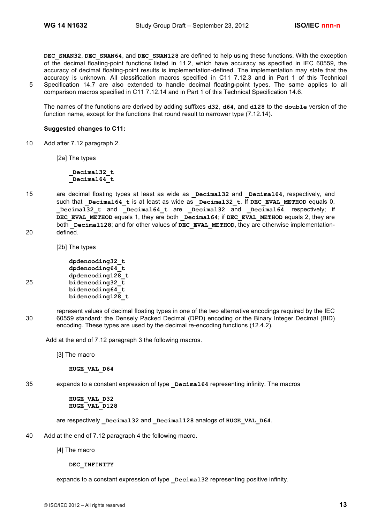**DEC\_SNAN32**, **DEC\_SNAN64**, and **DEC\_SNAN128** are defined to help using these functions. With the exception of the decimal floating-point functions listed in 11.2, which have accuracy as specified in IEC 60559, the accuracy of decimal floating-point results is implementation-defined. The implementation may state that the accuracy is unknown. All classification macros specified in C11 7.12.3 and in Part 1 of this Technical 5 Specification 14.7 are also extended to handle decimal floating-point types. The same applies to all comparison macros specified in C11 7.12.14 and in Part 1 of this Technical Specification 14.6.

The names of the functions are derived by adding suffixes **d32**, **d64**, and **d128** to the **double** version of the function name, except for the functions that round result to narrower type (7.12.14).

### **Suggested changes to C11:**

10 Add after 7.12 paragraph 2.

[2a] The types

**\_Decimal32\_t \_Decimal64\_t**

15 are decimal floating types at least as wide as **Decimal32** and **Decimal64**, respectively, and such that **Decimal64** t is at least as wide as **Decimal32** t. If **DEC** EVAL METHOD equals 0, **\_Decimal32\_t** and **\_Decimal64\_t** are **\_Decimal32** and **\_Decimal64**, respectively; if DEC EVAL METHOD equals 1, they are both **Decimal64**; if DEC EVAL METHOD equals 2, they are both **Decimal128**; and for other values of **DEC** EVAL METHOD, they are otherwise implementation-20 defined.

[2b] The types

**dpdencoding32\_t dpdencoding64\_t dpdencoding128\_t** 25 **bidencoding32\_t bidencoding64\_t bidencoding128\_t**

represent values of decimal floating types in one of the two alternative encodings required by the IEC 30 60559 standard: the Densely Packed Decimal (DPD) encoding or the Binary Integer Decimal (BID) encoding. These types are used by the decimal re-encoding functions (12.4.2).

Add at the end of 7.12 paragraph 3 the following macros.

[3] The macro

**HUGE\_VAL\_D64**

- 
- 

35 expands to a constant expression of type **Decimal64** representing infinity. The macros

# **HUGE\_VAL\_D32**

**HUGE\_VAL\_D128**

are respectively **\_Decimal32** and **\_Decimal128** analogs of **HUGE\_VAL\_D64**.

- 40 Add at the end of 7.12 paragraph 4 the following macro.
	- [4] The macro

### **DEC\_INFINITY**

expands to a constant expression of type **Decimal32** representing positive infinity.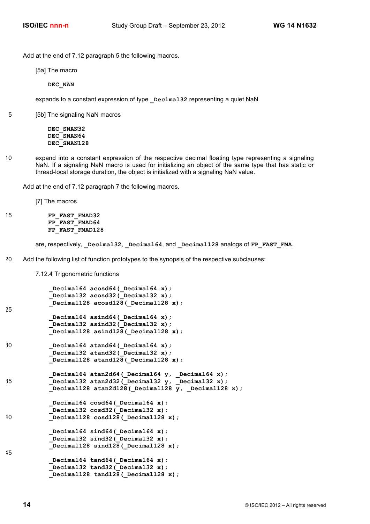Add at the end of 7.12 paragraph 5 the following macros.

[5a] The macro

**DEC\_NAN**

expands to a constant expression of type **Decimal32** representing a quiet NaN.

5 [5b] The signaling NaN macros

**DEC\_SNAN32 DEC\_SNAN64 DEC\_SNAN128**

10 expand into a constant expression of the respective decimal floating type representing a signaling NaN. If a signaling NaN macro is used for initializing an object of the same type that has static or thread-local storage duration, the object is initialized with a signaling NaN value.

Add at the end of 7.12 paragraph 7 the following macros.

[7] The macros

```
15 FP_FAST_FMAD32
          FP_FAST_FMAD64
          FP_FAST_FMAD128
```
are, respectively, **\_Decimal32**, **\_Decimal64**, and **\_Decimal128** analogs of **FP\_FAST\_FMA**.

20 Add the following list of function prototypes to the synopsis of the respective subclauses:

7.12.4 Trigonometric functions

```
Decimal64 acosd64( Decimal64 x);
             _Decimal32 acosd32(_Decimal32 x);
            _Decimal128 acosd128(_Decimal128 x);
25
            Decimal64 asind64 ( Decimal64 x);
            Decimal32 asind32(Decimal32 x);
             _Decimal128 asind128(_Decimal128 x);
30 _Decimal64 atand64(_Decimal64 x);
            Decimal32 atand32 (Decimal32 x);
            _Decimal128 atand128(_Decimal128 x);
            _Decimal64 atan2d64(_Decimal64 y, _Decimal64 x);
35 _Decimal32 atan2d32(_Decimal32 y, _Decimal32 x);
           Decimal128 atan2d128(Decimal128 y, Decimal128 x);
            Decimal64 cosd64( Decimal64 x);
           Decimal32 cosd32( Decimal32 x);
40 _Decimal128 cosd128(_Decimal128 x);
            Decimal64 sind64 (Decimal64 x);
           Decimal32 sind32(Decimal32 x);
           Decimal128 sind128 (Decimal128 x);
45
            Decimal64 tand64 ( Decimal64 x);
            Decimal32 tand32(Decimal32 x);
             _Decimal128 tand128(_Decimal128 x);
```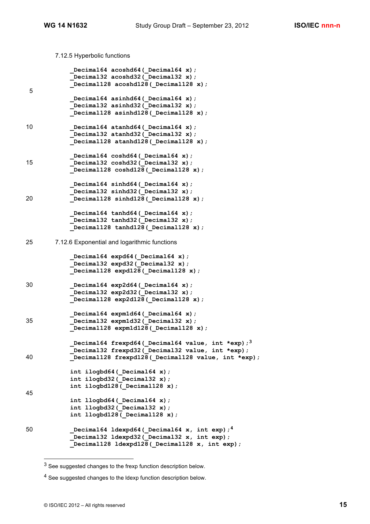7.12.5 Hyperbolic functions

```
 _Decimal64 acoshd64(_Decimal64 x);
            _Decimal32 acoshd32(_Decimal32 x);
            _Decimal128 acoshd128(_Decimal128 x);
5
            _Decimal64 asinhd64(_Decimal64 x);
           Decimal32 asinhd32(Decimal32 x);
           Decimal128 asinhd128(Decimal128 x);
10 Decimal64 atanhd64( Decimal64 x);
           Decimal32 atanhd32( Decimal32 x);
            _Decimal128 atanhd128(_Decimal128 x);
            Decimal64 coshd64( Decimal64 x);
15 _Decimal32 coshd32(_Decimal32 x);
            _Decimal128 coshd128(_Decimal128 x);
            Decimal64 sinhd64 (Decimal64 x);
             _Decimal32 sinhd32(_Decimal32 x);
20 _Decimal128 sinhd128(_Decimal128 x);
            _Decimal64 tanhd64(_Decimal64 x);
            _Decimal32 tanhd32(_Decimal32 x);
            _Decimal128 tanhd128(_Decimal128 x);
25 7.12.6 Exponential and logarithmic functions
            Decimal64 expd64( Decimal64 x);
           Decimal32 expd32(Decimal32 x);
           Decimal128 expd128( Decimal128 x);
30 _Decimal64 exp2d64(_Decimal64 x);
             _Decimal32 exp2d32(_Decimal32 x);
            _Decimal128 exp2d128(_Decimal128 x);
            _Decimal64 expm1d64(_Decimal64 x);
35 _Decimal32 expm1d32(_Decimal32 x);
            _Decimal128 expm1d128(_Decimal128 x);
            _Decimal64 frexpd64(_Decimal64 value, int *exp);3
            _Decimal32 frexpd32(_Decimal32 value, int *exp);
40 Decimal128 frexpd128 (Decimal128 value, int *exp);
           int ilogbd64( Decimal64 x);
            int ilogbd32(_Decimal32 x);
            int ilogbd128(_Decimal128 x);
45
           int llogbd64( Decimal64 x);
            int llogbd32(_Decimal32 x);
            int llogbd128(_Decimal128 x);
 _Decimal64 ldexpd64(_Decimal64 x, int exp);4 50
            _Decimal32 ldexpd32(_Decimal32 x, int exp);
            _Decimal128 ldexpd128(_Decimal128 x, int exp);
```
<sup>&</sup>lt;sup>3</sup> See suggested changes to the frexp function description below.

<sup>&</sup>lt;sup>4</sup> See suggested changes to the Idexp function description below.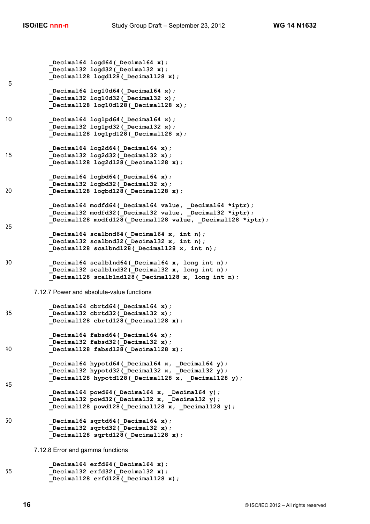```
Decimal64 logd64( Decimal64 x);
             _Decimal32 logd32(_Decimal32 x);
             _Decimal128 logd128(_Decimal128 x);
5
            _Decimal64 log10d64(_Decimal64 x);
            _Decimal32 log10d32(_Decimal32 x);
            _Decimal128 log10d128(_Decimal128 x);
10 Decimal64 log1pd64( Decimal64 x);
           Decimal32 log1pd32( Decimal32 x);
            _Decimal128 log1pd128(_Decimal128 x);
            Decimal64 log2d64( Decimal64 x);
15 _Decimal32 log2d32(_Decimal32 x);
            _Decimal128 log2d128(_Decimal128 x);
            Decimal64 logbd64( Decimal64 x);
            Decimal32 logbd32(Decimal32 x);
20 _Decimal128 logbd128(_Decimal128 x);
            Decimal64 modfd64( Decimal64 value, Decimal64 *iptr);
             _Decimal32 modfd32(_Decimal32 value, _Decimal32 *iptr);
            Decimal128 modfd128( Decimal128 value, Decimal128 *iptr);
25
            _Decimal64 scalbnd64(_Decimal64 x, int n);
            _Decimal32 scalbnd32(_Decimal32 x, int n);
           \overline{\text{Decimal128}} scalbnd128 (Decimal128 x, int n);
30 _Decimal64 scalblnd64(_Decimal64 x, long int n);
           Decimal32 scalblnd32 (Decimal32 x, long int n);
           Decimal128 scalblnd128(Decimal128 x, long int n);
       7.12.7 Power and absolute-value functions
            Decimal64 cbrtd64( Decimal64 x);
35 _Decimal32 cbrtd32(_Decimal32 x);
           Decimal128 cbrtd128 (Decimal128 x);
            _Decimal64 fabsd64(_Decimal64 x);
            Decimal32 fabsd32(Decimal32 x);
40 _Decimal128 fabsd128(_Decimal128 x);
            _Decimal64 hypotd64(_Decimal64 x, _Decimal64 y);
            _Decimal32 hypotd32(_Decimal32 x, _Decimal32 y);
           Decimal128 hypotd128( Decimal128 x, Decimal128 y);
45
             _Decimal64 powd64(_Decimal64 x, _Decimal64 y);
           Decimal32 powd32(Decimal32 x, Decimal32 y);
           Decimal128 powd128( Decimal128 x, Decimal128 y);
50 _Decimal64 sqrtd64(_Decimal64 x);
            Decimal32 sqrtd32(Decimal32 x);
            _Decimal128 sqrtd128(_Decimal128 x);
       7.12.8 Error and gamma functions
            _Decimal64 erfd64(_Decimal64 x);
55 _Decimal32 erfd32(_Decimal32 x);
```
 **\_Decimal128 erfd128(\_Decimal128 x);**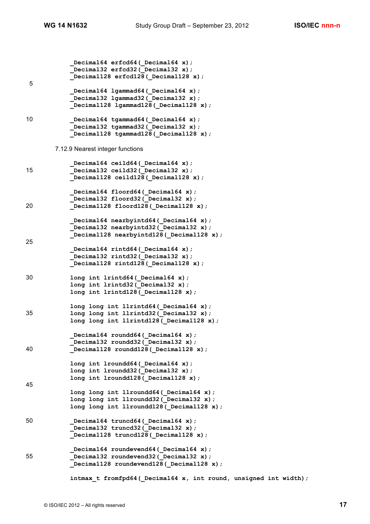**\_Decimal64 erfcd64(\_Decimal64 x);** Decimal32 erfcd32 (Decimal32 x);  **\_Decimal128 erfcd128(\_Decimal128 x);** 5  **\_Decimal64 lgammad64(\_Decimal64 x); \_Decimal32 lgammad32(\_Decimal32 x); \_Decimal128 lgammad128(\_Decimal128 x);** 10 **\_Decimal64 tgammad64(\_Decimal64 x);** Decimal32 tgammad32(Decimal32 x); Decimal128 tgammad128 (Decimal128 x); 7.12.9 Nearest integer functions Decimal64 ceild64( Decimal64 x); 15 **\_Decimal32 ceild32(\_Decimal32 x); \_Decimal128 ceild128(\_Decimal128 x); \_Decimal64 floord64(\_Decimal64 x);** Decimal32 floord32( Decimal32 x); 20 **\_Decimal128 floord128(\_Decimal128 x); \_Decimal64 nearbyintd64(\_Decimal64 x);** Decimal32 nearbyintd32 (Decimal32 x); Decimal128 nearbyintd128 (Decimal128 x); 25 Decimal64 rintd64( Decimal64 x); Decimal32 rintd32(Decimal32 x);  **\_Decimal128 rintd128(\_Decimal128 x);** 30 **long int lrintd64(\_Decimal64 x); long int lrintd32(\_Decimal32 x); long int lrintd128(\_Decimal128 x); long long int llrintd64(\_Decimal64 x);** 35 **long long int llrintd32(\_Decimal32 x);** long long int llrintd128( Decimal128 x);  **\_Decimal64 roundd64(\_Decimal64 x);** Decimal32 roundd32( Decimal32 x); 40 **\_Decimal128 roundd128(\_Decimal128 x); long int lroundd64(\_Decimal64 x); long int lroundd32(\_Decimal32 x); long int lroundd128(\_Decimal128 x);** 45  **long long int llroundd64(\_Decimal64 x); long long int llroundd32(\_Decimal32 x); long long int llroundd128(\_Decimal128 x);** 50 **\_Decimal64 truncd64(\_Decimal64 x);** Decimal32 truncd32 (Decimal32 x);  **\_Decimal128 truncd128(\_Decimal128 x); \_Decimal64 roundevend64(\_Decimal64 x);** 55 **Decimal32 roundevend32 (Decimal32 x)**; Decimal128 roundevend128 ( Decimal128 x);  **intmax\_t fromfpd64(\_Decimal64 x, int round, unsigned int width);**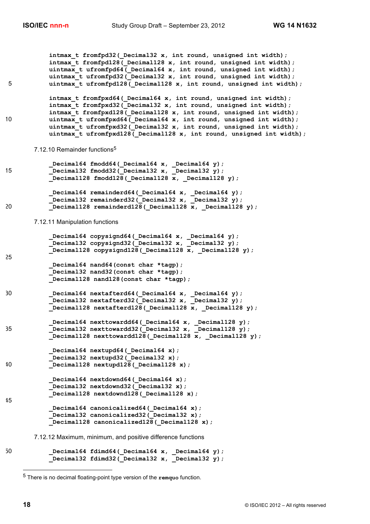```
intmax t fromfpd32( Decimal32 x, int round, unsigned int width);
            intmax t fromfpd128( Decimal128 x, int round, unsigned int width);
             uintmax_t ufromfpd64(_Decimal64 x, int round, unsigned int width);
            uintmax t ufromfpd32( Decimal32 x, int round, unsigned int width);
5 uintmax_t ufromfpd128(_Decimal128 x, int round, unsigned int width);
             intmax_t fromfpxd64(_Decimal64 x, int round, unsigned int width);
             intmax_t fromfpxd32(_Decimal32 x, int round, unsigned int width);
            intmax t fromfpxd128 (Decimal128 x, int round, unsigned int width);
10 uintmax t ufromfpxd64(Decimal64 x, int round, unsigned int width);
            uintmax t ufromfpxd32( Decimal32 x, int round, unsigned int width);
            uintmax t ufromfpxd128( Decimal128 x, int round, unsigned int width);
        7.12.10 Remainder functions<sup>5</sup>
              _Decimal64 fmodd64(_Decimal64 x, _Decimal64 y);
15 Leading Leading Leading 2 and September 2 and Section 2 and 2 y 2 and 2 y 2 and 2 y 2 and 2 y 2 and 2 y 2 and 2 y 2 and 2 y 2 and 2 y 2 and 2 y 2 and 2 y 2 and 2 y 2 and 2 y 2 and 2 y 2 and 2 y 2 and 2 y 2 and 2 y 2 a
            Decimal128 fmodd128( Decimal128 x, Decimal128 y);
             _Decimal64 remainderd64(_Decimal64 x, _Decimal64 y);
             _Decimal32 remainderd32(_Decimal32 x, _Decimal32 y);
20 Decimal128 remainderd128( Decimal128 x, Decimal128 y);
        7.12.11 Manipulation functions
             Decimal64 copysignd64( Decimal64 x, Decimal64 y);
            Decimal32 copysignd32 Decimal32 x, Decimal32 y);
            Decimal128 copysignd128 (Decimal128 x, Decimal128 y);
25
              _Decimal64 nand64(const char *tagp);
              _Decimal32 nand32(const char *tagp);
             _Decimal128 nand128(const char *tagp);
30 _Decimal64 nextafterd64(_Decimal64 x, _Decimal64 y);
             _Decimal32 nextafterd32(_Decimal32 x, _Decimal32 y);
            Decimal128 nextafterd128 (Decimal128 x, Decimal128 y);
             _Decimal64 nexttowardd64(_Decimal64 x, _Decimal128 y);
35 _Decimal32 nexttowardd32(_Decimal32 x, _Decimal128 y);
             _Decimal128 nexttowardd128(_Decimal128 x, _Decimal128 y);
            Decimal64 nextupd64( Decimal64 x);
            Decimal32 nextupd32 ( Decimal32 x);
40 _Decimal128 nextupd128(_Decimal128 x);
             Decimal64 nextdownd64( Decimal64 x);
             Decimal32 nextdownd32 (Decimal32 x);
            Decimal128 nextdownd128 ( Decimal128 x);
45
             Decimal64 canonicalized64( Decimal64 x);
             Decimal32 canonicalized32( Decimal32 x);
             Decimal128 canonicalized128(Decimal128 x);
        7.12.12 Maximum, minimum, and positive difference functions
50 Decimal64 fdimd64( Decimal64 x, Decimal64 y);
```

```
Decimal32 fdimd32(Decimal32 x, Decimal32 y);
```
l

<sup>5</sup> There is no decimal floating-point type version of the **remquo** function.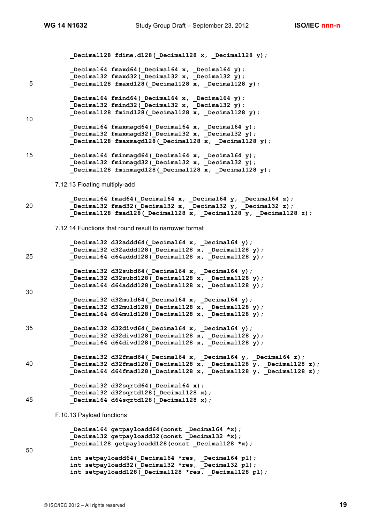```
Decimal128 fdime, d128( Decimal128 x, Decimal128 y);
             _Decimal64 fmaxd64(_Decimal64 x, _Decimal64 y);
             _Decimal32 fmaxd32(_Decimal32 x, _Decimal32 y);
5 _Decimal128 fmaxd128(_Decimal128 x, _Decimal128 y);
            _Decimal64 fmind64(_Decimal64 x, _Decimal64 y);
            _Decimal32 fmind32(_Decimal32 x, _Decimal32 y);
           \overline{\text{Decimal128}} fmind128 (Decimal128 x, Decimal128 y);
10
           Decimal64 fmaxmagd64( Decimal64 x, Decimal64 y);
           Decimal32 fmaxmagd32 (Decimal32 x, Decimal32 y);
           Decimal128 fmaxmagd128(Decimal128 x, Decimal128 y);
15 _Decimal64 fminmagd64(_Decimal64 x, _Decimal64 y);
           Decimal32 fminmagd32 (Decimal32 x, Decimal32 y);
            _Decimal128 fminmagd128(_Decimal128 x, _Decimal128 y);
       7.12.13 Floating multiply-add
            _Decimal64 fmad64(_Decimal64 x, _Decimal64 y, _Decimal64 z);
20 _Decimal32 fmad32(_Decimal32 x, _Decimal32 y, _Decimal32 z);
           Decimal128 fmad128 (Decimal128 x, Decimal128 y, Decimal128 z);
       7.12.14 Functions that round result to narrower format
            Decimal32 d32addd64( Decimal64 x, Decimal64 y);
            _Decimal32 d32addd128(_Decimal128 x, _Decimal128 y);
25 _Decimal64 d64addd128(_Decimal128 x, _Decimal128 y);
            Decimal32 d32subd64( Decimal64 x, _Decimal64 y);
           \overline{\text{Decimal32 d32subd128(} Decimal128 x, Decimal128 y);
           Decimal64 d64addd128(Decimal128 x, Decimal128 y);
30
             _Decimal32 d32muld64(_Decimal64 x, _Decimal64 y);
             _Decimal32 d32muld128(_Decimal128 x, _Decimal128 y);
            _Decimal64 d64muld128(_Decimal128 x, _Decimal128 y);
35 _Decimal32 d32divd64(_Decimal64 x, _Decimal64 y);
            _Decimal32 d32divd128(_Decimal128 x, _Decimal128 y);
            _Decimal64 d64divd128(_Decimal128 x, _Decimal128 y);
            _Decimal32 d32fmad64(_Decimal64 x, _Decimal64 y, _Decimal64 z);
40 becimal32 d32fmad128 Decimal128 x, Decimal128 \overline{y}, Decimal128 z);
           Decimal64 d64fmad128( Decimal128 x, Decimal128 y, Decimal128 z);
            Decimal32 d32sqrtd64( Decimal64 x);
            _Decimal32 d32sqrtd128(_Decimal128 x);
45 _Decimal64 d64sqrtd128(_Decimal128 x);
       F.10.13 Payload functions
      _Decimal64 getpayloadd64(const _Decimal64 *x);
      _Decimal32 getpayloadd32(const _Decimal32 *x);
           Decimal128 getpayloadd128(const Decimal128 *x);
50
            int setpayloadd64(_Decimal64 *res, _Decimal64 pl);
            int setpayloadd32(_Decimal32 *res, _Decimal32 pl);
           int setpayloadd128( Decimal128 *res, Decimal128 pl);
```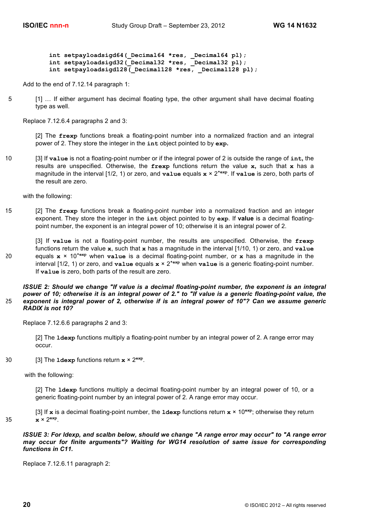int setpayloadsigd64( Decimal64 \*res, Decimal64 pl);  **int setpayloadsigd32(\_Decimal32 \*res, \_Decimal32 pl); int setpayloadsigd128(\_Decimal128 \*res, \_Decimal128 pl);**

Add to the end of 7.12.14 paragraph 1:

5 [1] … If either argument has decimal floating type, the other argument shall have decimal floating type as well.

Replace 7.12.6.4 paragraphs 2 and 3:

[2] The **frexp** functions break a floating-point number into a normalized fraction and an integral power of 2. They store the integer in the **int** object pointed to by **exp.**

10 [3] If **value** is not a floating-point number or if the integral power of 2 is outside the range of **int,** the results are unspecified. Otherwise, the **frexp** functions return the value **x,** such that **x** has a magnitude in the interval [1/2, 1) or zero, and **value** equals **x** × 2**\*exp**. If **value** is zero, both parts of the result are zero.

with the following:

15 [2] The **frexp** functions break a floating-point number into a normalized fraction and an integer exponent. They store the integer in the **int** object pointed to by **exp**. If **value** is a decimal floatingpoint number, the exponent is an integral power of 10; otherwise it is an integral power of 2.

[3] If **value** is not a floating-point number, the results are unspecified. Otherwise, the **frexp** functions return the value **x**, such that **x** has a magnitude in the interval [1/10, 1) or zero, and **value** 20 equals  $x \times 10^{x \text{exp}}$  when **value** is a decimal floating-point number, or x has a magnitude in the interval [1/2, 1) or zero, and **value** equals **x** × 2**\*exp** when **value** is a generic floating-point number. If **value** is zero, both parts of the result are zero.

*ISSUE 2: Should we change "If value is a decimal floating-point number, the exponent is an integral power of 10; otherwise it is an integral power of 2." to "If value is a generic floating-point value, the*  25 *exponent is integral power of 2, otherwise if is an integral power of 10"? Can we assume generic RADIX is not 10?* 

Replace 7.12.6.6 paragraphs 2 and 3:

[2] The **ldexp** functions multiply a floating-point number by an integral power of 2. A range error may occur.

30  $\qquad$  [3] The **ldexp** functions return  $x \times 2^{\exp}$ .

with the following:

[2] The **ldexp** functions multiply a decimal floating-point number by an integral power of 10, or a generic floating-point number by an integral power of 2. A range error may occur.

[3] If **x** is a decimal floating-point number, the **ldexp** functions return **x** × 10**exp**; otherwise they return 35  $\mathbf{x} \times 2^{\exp}$ .

*ISSUE 3: For ldexp, and scalbn below, should we change "A range error may occur" to "A range error may occur for finite arguments"? Waiting for WG14 resolution of same issue for corresponding functions in C11.*

Replace 7.12.6.11 paragraph 2: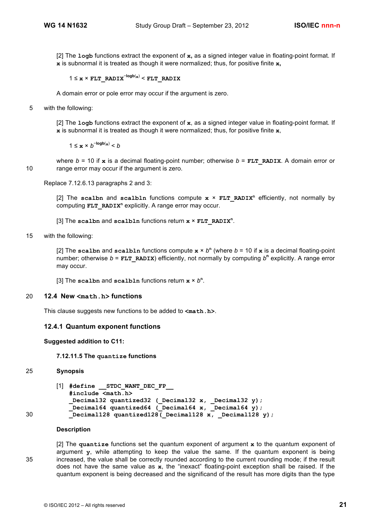[2] The **logb** functions extract the exponent of **x,** as a signed integer value in floating-point format. If **x** is subnormal it is treated as though it were normalized; thus, for positive finite **x,**

1 ≤ **x** × **FLT\_RADIX**<sup>−</sup>**logb**(**x**) < **FLT\_RADIX**

A domain error or pole error may occur if the argument is zero.

5 with the following:

[2] The **logb** functions extract the exponent of **x**, as a signed integer value in floating-point format. If **x** is subnormal it is treated as though it were normalized; thus, for positive finite **x**,

1 ≤  $\mathbf{x} \times b^{-\log b(\mathbf{x})} < b$ 

where  $b = 10$  if  $\boldsymbol{\mathrm{x}}$  is a decimal floating-point number; otherwise  $b = \boldsymbol{\mathrm{F}} \boldsymbol{\mathrm{L}} \boldsymbol{\mathrm{T}}$  **RADIX**. A domain error or 10 range error may occur if the argument is zero.

Replace 7.12.6.13 paragraphs 2 and 3:

 $[2]$  The scalbn and scalbln functions compute  $x \times FLT$  RADIX<sup>n</sup> efficiently, not normally by computing **FLT\_RADIX<sup>n</sup>** explicitly. A range error may occur.

[3] The **scalbn** and **scalbln** functions return **x** × **FLT\_RADIX<sup>n</sup>** .

15 with the following:

[2] The scalbn and scalbln functions compute  $x \times b^n$  (where  $b = 10$  if x is a decimal floating-point number; otherwise *b* = **FLT\_RADIX**) efficiently, not normally by computing *b***<sup>n</sup>** explicitly. A range error may occur.

[3] The scalbn and scalbln functions return  $x \times b^n$ .

### 20 **12.4 New <math.h> functions**

This clause suggests new functions to be added to **<math.h>**.

### **12.4.1 Quantum exponent functions**

### **Suggested addition to C11:**

### **7.12.11.5 The quantize functions**

### 25 **Synopsis**

```
[1] #define __STDC_WANT_DEC_FP__
```

```
#include <math.h>
           _Decimal32 quantized32 (_Decimal32 x, _Decimal32 y);
           _Decimal64 quantized64 (_Decimal64 x, _Decimal64 y);
30 Decimal128 quantized128( Decimal128 x, Decimal128 y);
```
### **Description**

[2] The **quantize** functions set the quantum exponent of argument **x** to the quantum exponent of argument **y**, while attempting to keep the value the same*.* If the quantum exponent is being 35 increased, the value shall be correctly rounded according to the current rounding mode; if the result does not have the same value as **x**, the "inexact" floating-point exception shall be raised. If the quantum exponent is being decreased and the significand of the result has more digits than the type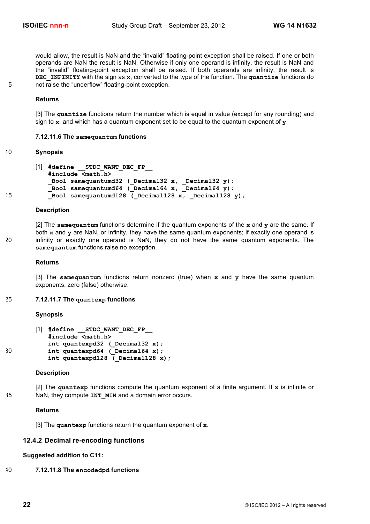would allow, the result is NaN and the "invalid" floating-point exception shall be raised. If one or both operands are NaN the result is NaN. Otherwise if only one operand is infinity, the result is NaN and the "invalid" floating-point exception shall be raised. If both operands are infinity, the result is **DEC\_INFINITY** with the sign as **x**, converted to the type of the function. The **quantize** functions do 5 not raise the "underflow" floating-point exception.

### **Returns**

[3] The **quantize** functions return the number which is equal in value (except for any rounding) and sign to **x**, and which has a quantum exponent set to be equal to the quantum exponent of **y**.

### **7.12.11.6 The samequantum functions**

### 10 **Synopsis**

```
[1] #define __STDC_WANT_DEC_FP__
           #include <math.h>
           _Bool samequantumd32 (_Decimal32 x, _Decimal32 y);
           _Bool samequantumd64 (_Decimal64 x, _Decimal64 y);
15 bool samequantumd128 (Decimal128 x, Decimal128 y);
```
### **Description**

[2] The **samequantum** functions determine if the quantum exponents of the **x** and **y** are the same. If both **x** and **y** are NaN, or infinity, they have the same quantum exponents; if exactly one operand is 20 infinity or exactly one operand is NaN, they do not have the same quantum exponents. The **samequantum** functions raise no exception.

### **Returns**

[3] The **samequantum** functions return nonzero (true) when **x** and **y** have the same quantum exponents, zero (false) otherwise.

### 25 **7.12.11.7 The quantexp functions**

#### **Synopsis**

```
[1] #define __STDC_WANT_DEC_FP__
           #include <math.h>
           int quantexpd32 ( Decimal32 x);
30 int quantexpd64 (Decimal64 x);
           int quantexpd128 ( Decimal128 x);
```
#### **Description**

[2] The **quantexp** functions compute the quantum exponent of a finite argument. If **x** is infinite or 35 NaN, they compute **INT MIN** and a domain error occurs.

### **Returns**

[3] The **quantexp** functions return the quantum exponent of **x**.

# **12.4.2 Decimal re-encoding functions**

# **Suggested addition to C11:**

40 **7.12.11.8 The encodedpd functions**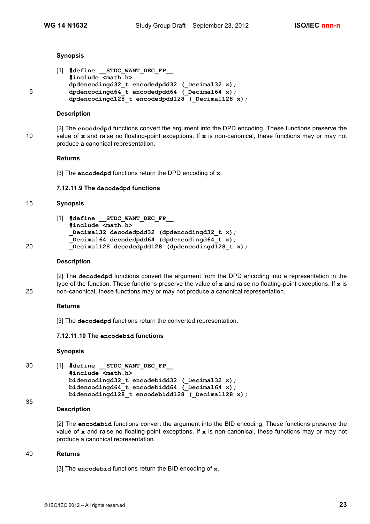### **Synopsis**

```
[1] #define __STDC_WANT_DEC_FP__
          #include <math.h>
          dpdencodingd32_t encodedpdd32 (_Decimal32 x);
5 dpdencodingd64 t encodedpdd64 (Decimal64 x);
          dpdencodingd128 t encodedpdd128 ( Decimal128 x);
```
### **Description**

[2] The **encodedpd** functions convert the argument into the DPD encoding. These functions preserve the 10 value of **x** and raise no floating-point exceptions. If **x** is non-canonical, these functions may or may not produce a canonical representation.

### **Returns**

[3] The **encodedpd** functions return the DPD encoding of **x**.

### **7.12.11.9 The decodedpd functions**

# 15 **Synopsis**

```
[1] #define __STDC_WANT_DEC_FP__
           #include <math.h>
           Decimal32 decodedpdd32 (dpdencodingd32 t x);
           _Decimal64 decodedpdd64 (dpdencodingd64_t x);
20 _Decimal128 decodedpdd128 (dpdencodingd128_t x);
```
### **Description**

[2] The **decodedpd** functions convert the argument from the DPD encoding into a representation in the type of the function. These functions preserve the value of **x** and raise no floating-point exceptions. If **x** is 25 non-canonical, these functions may or may not produce a canonical representation.

### **Returns**

[3] The **decodedpd** functions return the converted representation.

### **7.12.11.10 The encodebid functions**

### **Synopsis**

```
30 [1] #define __STDC_WANT_DEC_FP__
           #include <math.h>
           bidencodingd32 t encodebidd32 ( Decimal32 x);
           bidencodingd64 t encodebidd64 (Decimal64 x);
           bidencodingd128 t encodebidd128 ( Decimal128 x);
```
# **Description**

[2] The **encodebid** functions convert the argument into the BID encoding. These functions preserve the value of **x** and raise no floating-point exceptions. If **x** is non-canonical, these functions may or may not produce a canonical representation.

### 40 **Returns**

35

[3] The **encodebid** functions return the BID encoding of **x**.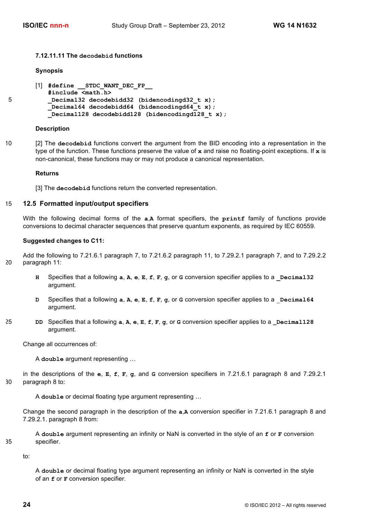### **7.12.11.11 The decodebid functions**

### **Synopsis**

```
[1] #define __STDC_WANT_DEC_FP__
          #include <math.h>
5 _Decimal32 decodebidd32 (bidencodingd32_t x);
           _Decimal64 decodebidd64 (bidencodingd64_t x);
          Decimal128 decodebidd128 (bidencodingd128 t x);
```
### **Description**

10 [2] The **decodebid** functions convert the argument from the BID encoding into a representation in the type of the function. These functions preserve the value of **x** and raise no floating-point exceptions. If **x** is non-canonical, these functions may or may not produce a canonical representation.

### **Returns**

[3] The **decodebid** functions return the converted representation.

### 15 **12.5 Formatted input/output specifiers**

With the following decimal forms of the **a**,**A** format specifiers, the **printf** family of functions provide conversions to decimal character sequences that preserve quantum exponents, as required by IEC 60559.

### **Suggested changes to C11:**

Add the following to 7.21.6.1 paragraph 7, to 7.21.6.2 paragraph 11, to 7.29.2.1 paragraph 7, and to 7.29.2.2 20 paragraph 11:

- **H** Specifies that a following **a**, **A**, **e**, **E**, **f**, **F**, **g**, or **G** conversion specifier applies to a **\_Decimal32** argument.
- **D** Specifies that a following **a**, **A**, **e**, **E**, **f**, **F**, **g**, or **G** conversion specifier applies to a \_**Decimal64** argument.
- 25 **DD** Specifies that a following **a**, **A**, **e**, **E**, **f**, **F**, **g**, or **G** conversion specifier applies to a **\_Decimal128** argument.

Change all occurrences of:

A **double** argument representing …

in the descriptions of the **e**, **E**, **f**, **F**, **g**, and **G** conversion specifiers in 7.21.6.1 paragraph 8 and 7.29.2.1 30 paragraph 8 to:

A **double** or decimal floating type argument representing …

Change the second paragraph in the description of the **a**,**A** conversion specifier in 7.21.6.1 paragraph 8 and 7.29.2.1. paragraph 8 from:

A **double** argument representing an infinity or NaN is converted in the style of an **f** or **F** conversion 35 specifier.

to:

A **double** or decimal floating type argument representing an infinity or NaN is converted in the style of an **f** or **F** conversion specifier.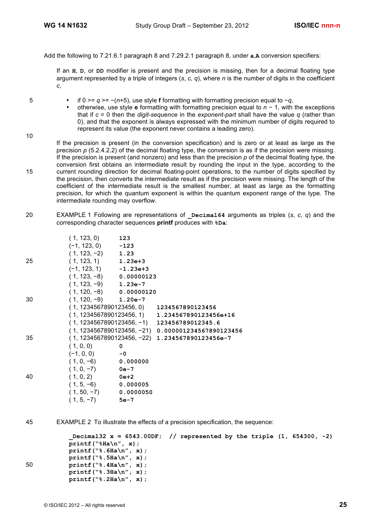Add the following to 7.21.6.1 paragraph 8 and 7.29.2.1 paragraph 8, under **a**,**A** conversion specifiers:

If an **H**, **D**, or **DD** modifier is present and the precision is missing, then for a decimal floating type argument represented by a triple of integers (*s*, *c*, *q*), where *n* is the number of digits in the coefficient *c*,

10

- 5 if 0 >= *q* >= −(*n*+5), use style **f** formatting with formatting precision equal to −*q*,
	- otherwise, use style **e** formatting with formatting precision equal to *n* − 1, with the exceptions that if *c* = 0 then the *digit-sequence* in the *exponent-part* shall have the value *q* (rather than 0), and that the exponent is always expressed with the minimum number of digits required to represent its value (the exponent never contains a leading zero).
- If the precision is present (in the conversion specification) and is zero or at least as large as the precision  $p$  (5.2.4.2.2) of the decimal floating type, the conversion is as if the precision were missing. If the precision is present (and nonzero) and less than the precision *p* of the decimal floating type, the conversion first obtains an intermediate result by rounding the input in the type, according to the 15 current rounding direction for decimal floating-point operations, to the number of digits specified by the precision, then converts the intermediate result as if the precision were missing. The length of the coefficient of the intermediate result is the smallest number, at least as large as the formatting precision, for which the quantum exponent is within the quantum exponent range of the type. The intermediate rounding may overflow.
- 20 EXAMPLE 1 Following are representations of **\_Decimal64** arguments as triples (*s*, *c*, *q*) and the corresponding character sequences **printf** produces with **%Da**:

|    | (1, 123, 0)               | 123    |                                                      |
|----|---------------------------|--------|------------------------------------------------------|
|    | $(-1, 123, 0)$ $-123$     |        |                                                      |
|    | $(1, 123, -2)$ 1.23       |        |                                                      |
| 25 | $(1, 123, 1)$ 1.23e+3     |        |                                                      |
|    | $(-1, 123, 1)$ $-1.23e+3$ |        |                                                      |
|    | $(1, 123, -8)$ 0.00000123 |        |                                                      |
|    | $(1, 123, -9)$ 1.23e-7    |        |                                                      |
|    | $(1, 120, -8)$ 0.00000120 |        |                                                      |
| 30 | $(1, 120, -9)$ 1.20e-7    |        |                                                      |
|    |                           |        | $(1, 1234567890123456, 0)$ 1234567890123456          |
|    |                           |        | $(1, 1234567890123456, 1)$ 1.234567890123456e+16     |
|    |                           |        | $(1, 1234567890123456, -1)$ 123456789012345.6        |
|    |                           |        | $(1, 1234567890123456, -21)$ 0.000001234567890123456 |
| 35 |                           |        | $(1, 1234567890123456, -22)$ 1.234567890123456e-7    |
|    | (1, 0, 0)                 | 0      |                                                      |
|    | $(-1, 0, 0)$              | $-0$   |                                                      |
|    | $(1, 0, -6)$ 0.000000     |        |                                                      |
|    | $(1, 0, -7)$ 0e-7         |        |                                                      |
| 40 | $(1, 0, 2)$ 0e+2          |        |                                                      |
|    | $(1, 5, -6)$ 0.000005     |        |                                                      |
|    | $(1, 50, -7)$ 0.0000050   |        |                                                      |
|    | $(1, 5, -7)$              | $5e-7$ |                                                      |
|    |                           |        |                                                      |

45 EXAMPLE 2 To illustrate the effects of a precision specification, the sequence:

```
_Decimal32 x = 6543.00DF; // represented by the triple (1, 654300, -2)
           printf("%Ha\n", x);
           printf("%.6Ha\n", x);
           printf("%.5Ha\n", x);
50 printf("%.4Ha\n", x);
           printf("%.3Ha\n", x);
           printf("%.2Ha\n", x);
```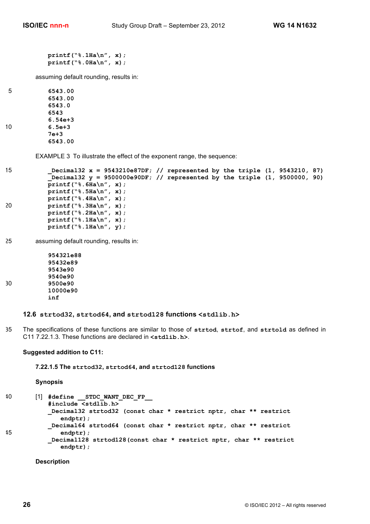```
printf("%.1Ha\n", x);
printf("%.0Ha\n", x);
```
assuming default rounding, results in:

5 **6543.00 6543.00 6543.0 6543 6.54e+3** 10 **6.5e+3 7e+3 6543.00**

EXAMPLE 3 To illustrate the effect of the exponent range, the sequence:

```
15 _Decimal32 x = 9543210e87DF; // represented by the triple (1, 9543210, 87)
           _Decimal32 y = 9500000e90DF; // represented by the triple (1, 9500000, 90)
           printf("%.6Ha\n", x);
           printf("%.5Ha\n", x);
           printf("%.4Ha\n", x);
20 printf("%.3Ha\n", x);
           printf("%.2Ha\n", x);
           printf("%.1Ha\n", x);
           printf("%.1Ha\n", y);
```
25 assuming default rounding, results in:

**954321e88 95432e89 9543e90 9540e90** 30 **9500e90 10000e90 inf**

**12.6 strtod32, strtod64, and strtod128 functions <stdlib.h>**

35 The specifications of these functions are similar to those of **strtod**, **strtof**, and **strtold** as defined in C11 7.22.1.3. These functions are declared in **<stdlib.h>**.

# **Suggested addition to C11:**

**7.22.1.5 The strtod32, strtod64, and strtod128 functions**

**Synopsis**

```
40 [1] #define __STDC_WANT_DEC_FP__
           #include <stdlib.h>
           _Decimal32 strtod32 (const char * restrict nptr, char ** restrict
              endptr);
           _Decimal64 strtod64 (const char * restrict nptr, char ** restrict
45 endptr);
           _Decimal128 strtod128(const char * restrict nptr, char ** restrict
              endptr);
```
**Description**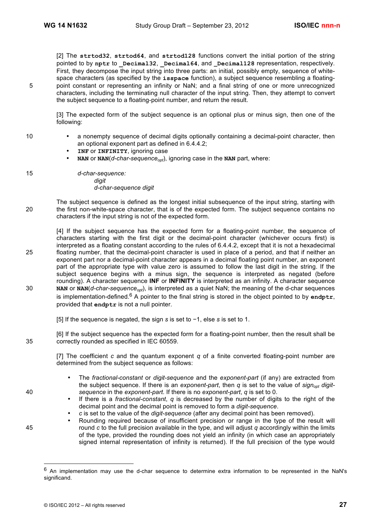[2] The **strtod32**, **strtod64**, and **strtod128** functions convert the initial portion of the string pointed to by **nptr** to **\_Decimal32**, **\_Decimal64**, and **\_Decimal128** representation, respectively. First, they decompose the input string into three parts: an initial, possibly empty, sequence of whitespace characters (as specified by the **isspace** function), a subject sequence resembling a floating-5 point constant or representing an infinity or NaN; and a final string of one or more unrecognized characters, including the terminating null character of the input string. Then, they attempt to convert the subject sequence to a floating-point number, and return the result.

[3] The expected form of the subject sequence is an optional plus or minus sign, then one of the following:

- 
- 10 a nonempty sequence of decimal digits optionally containing a decimal-point character, then an optional exponent part as defined in 6.4.4.2;
	- **INF** or **INFINITY**, ignoring case
	- **NAN** or **NAN**( $d$ -char-sequence<sub>opt</sub>), ignoring case in the **NAN** part, where:

15 *d-char-sequence: digit d-char-sequence digit*

The subject sequence is defined as the longest initial subsequence of the input string, starting with 20 the first non-white-space character, that is of the expected form. The subject sequence contains no characters if the input string is not of the expected form.

[4] If the subject sequence has the expected form for a floating-point number, the sequence of characters starting with the first digit or the decimal-point character (whichever occurs first) is interpreted as a floating constant according to the rules of 6.4.4.2, except that it is not a hexadecimal 25 floating number, that the decimal-point character is used in place of a period, and that if neither an exponent part nor a decimal-point character appears in a decimal floating point number, an exponent part of the appropriate type with value zero is assumed to follow the last digit in the string. If the subject sequence begins with a minus sign, the sequence is interpreted as negated (before rounding). A character sequence **INF** or **INFINITY** is interpreted as an infinity. A character sequence 30 **NAN** or **NAN**(*d-char-sequence<sub>opt</sub>*), is interpreted as a quiet NaN; the meaning of the d-char sequences is implementation-defined.<sup>6</sup> A pointer to the final string is stored in the object pointed to by **endptr**, provided that **endptr** is not a null pointer.

[5] If the sequence is negated, the sign *s* is set to −1, else *s* is set to 1.

[6] If the subject sequence has the expected form for a floating-point number, then the result shall be 35 correctly rounded as specified in IEC 60559.

[7] The coefficient *c* and the quantum exponent *q* of a finite converted floating-point number are determined from the subject sequence as follows:

- The *fractional-constant* or *digit-sequence* and the *exponent-part* (if any) are extracted from the subject sequence. If there is an *exponent-part*, then *q* is set to the value of *sign<sub>opt</sub> digit-*40 *sequence* in the *exponent-part*. If there is no *exponent-part*, *q* is set to 0.
	- If there is a *fractional-constant*, *q* is decreased by the number of digits to the right of the decimal point and the decimal point is removed to form a *digit-sequence*.
	- *c* is set to the value of the *digit-sequence* (after any decimal point has been removed).
- Rounding required because of insufficient precision or range in the type of the result will 45 round *c* to the full precision available in the type, and will adjust *q* accordingly within the limits of the type, provided the rounding does not yield an infinity (in which case an appropriately signed internal representation of infinity is returned). If the full precision of the type would

 <sup>6</sup> An implementation may use the d-char sequence to determine extra information to be represented in the NaN's significand.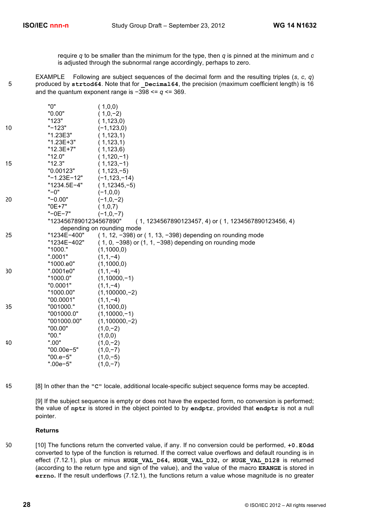require *q* to be smaller than the minimum for the type, then *q* is pinned at the minimum and *c* is adjusted through the subnormal range accordingly, perhaps to zero.

EXAMPLE Following are subject sequences of the decimal form and the resulting triples (*s*, *c*, *q*) 5 produced by strtod64. Note that for **Decimal64**, the precision (maximum coefficient length) is 16 and the quantum exponent range is −398 <= *q* <= 369.

|    | "0"                    | (1,0,0)                                                       |
|----|------------------------|---------------------------------------------------------------|
|    | "0.00"                 | $(1,0,-2)$                                                    |
|    | "123"                  | (1, 123, 0)                                                   |
| 10 | $" - 123"$             | $(-1, 123, 0)$                                                |
|    | "1.23E3"               | (1, 123, 1)                                                   |
|    | "1.23E+3"              | (1, 123, 1)                                                   |
|    | "12.3E+7"              | (1, 123, 6)                                                   |
|    | "12.0"                 | $(1, 120, -1)$                                                |
| 15 | "12.3"                 | $(1, 123, -1)$                                                |
|    | "0.00123"              | $(1, 123, -5)$                                                |
|    | "-1.23E-12"            | $(-1, 123, -14)$                                              |
|    | "1234.5E-4"            | $(1, 12345, -5)$                                              |
|    | $"$ -0"                | $(-1,0,0)$                                                    |
| 20 | $"$ -0.00"             | $(-1,0,-2)$                                                   |
|    | "0E+7"                 | (1,0,7)                                                       |
|    | "-0E-7"                | $(-1,0,-7)$                                                   |
|    | "12345678901234567890" | $(1, 1234567890123457, 4)$ or $(1, 1234567890123456, 4)$      |
|    |                        | depending on rounding mode                                    |
| 25 | "1234E-400"            | $(1, 12, -398)$ or $(1, 13, -398)$ depending on rounding mode |
|    | "1234E-402"            | $(1, 0, -398)$ or $(1, 1, -398)$ depending on rounding mode   |
|    | "1000."                | (1,1000,0)                                                    |
|    | ".0001"                | $(1,1,-4)$                                                    |
|    | "1000.e0"              | (1,1000,0)                                                    |
| 30 | ".0001e0"              | $(1,1,-4)$                                                    |
|    | "1000.0"               | $(1,10000,-1)$                                                |
|    | "0.0001"               | $(1,1,-4)$                                                    |
|    | "1000.00"              | $(1,100000,-2)$                                               |
|    | "00.0001"              | $(1,1,-4)$                                                    |
| 35 | "001000."              | (1,1000,0)                                                    |
|    | "001000.0"             | $(1,10000,-1)$                                                |
|    | "001000.00"            | $(1,100000,-2)$                                               |
|    | "00.00"                | $(1,0,-2)$                                                    |
|    | "00."                  | (1,0,0)                                                       |
| 40 | ".00"                  | $(1,0,-2)$                                                    |
|    | "00.00e-5"             | $(1,0,-7)$                                                    |
|    | "00.e-5"               | $(1,0,-5)$                                                    |
|    | ".00e-5"               | $(1,0,-7)$                                                    |
|    |                        |                                                               |

45 [8] In other than the **"C"** locale, additional locale-specific subject sequence forms may be accepted.

[9] If the subject sequence is empty or does not have the expected form, no conversion is performed; the value of **nptr** is stored in the object pointed to by **endptr**, provided that **endptr** is not a null pointer.

### **Returns**

50 [10] The functions return the converted value, if any. If no conversion could be performed, **+0.E0dd** converted to type of the function is returned. If the correct value overflows and default rounding is in effect (7.12.1), plus or minus **HUGE\_VAL\_D64, HUGE\_VAL\_D32,** or **HUGE\_VAL\_D128** is returned (according to the return type and sign of the value), and the value of the macro **ERANGE** is stored in **errno.** If the result underflows (7.12.1), the functions return a value whose magnitude is no greater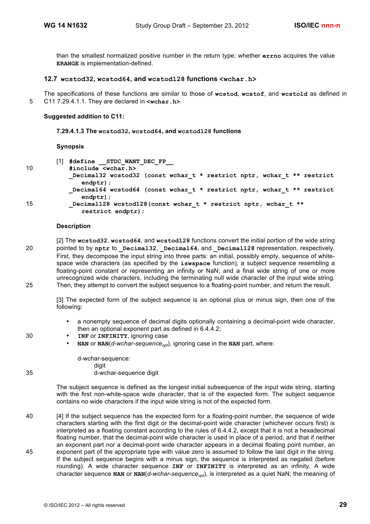than the smallest normalized positive number in the return type; whether **errno** acquires the value **ERANGE** is implementation-defined.

# **12.7 wcstod32, wcstod64, and wcstod128 functions <wchar.h>**

The specifications of these functions are similar to those of **wcstod**, **wcstof**, and **wcstold** as defined in 5 C11 7.29.4.1.1. They are declared in **<wchar.h>**.

### **Suggested addition to C11:**

### **7.29.4.1.3 The wcstod32, wcstod64, and wcstod128 functions**

### **Synopsis**

| I<br>۰. |
|---------|
| ×<br>۰. |

[1] **#define \_\_STDC\_WANT\_DEC\_FP\_\_** 10 **#include <wchar.h> \_Decimal32 wcstod32 (const wchar\_t \* restrict nptr, wchar\_t \*\* restrict endptr); \_Decimal64 wcstod64 (const wchar\_t \* restrict nptr, wchar\_t \*\* restrict endptr);** 15 **\_Decimal128 wcstod128(const wchar\_t \* restrict nptr, wchar\_t \*\* restrict endptr);**

### **Description**

[2] The **wcstod32**, **wcstod64**, and **wcstod128** functions convert the initial portion of the wide string 20 pointed to by nptr to **Decimal32**, **Decimal64**, and **Decimal128** representation, respectively. First, they decompose the input string into three parts:  $\overline{ap}$  initial, possibly empty, sequence of whitespace wide characters (as specified by the **iswspace** function), a subject sequence resembling a floating-point constant or representing an infinity or NaN; and a final wide string of one or more unrecognized wide characters, including the terminating null wide character of the input wide string. 25 Then, they attempt to convert the subject sequence to a floating-point number, and return the result.

[3] The expected form of the subject sequence is an optional plus or minus sign, then one of the following:

- a nonempty sequence of decimal digits optionally containing a decimal-point wide character, then an optional exponent part as defined in 6.4.4.2;
- 30 **INF** or **INFINITY**, ignoring case
	- **NAN** or  $NAN(d-wchar-sequence_{\text{out}})$ , ignoring case in the **NAN** part, where:

d-wchar-sequence: digit 35 d-wchar-sequence digit

> The subject sequence is defined as the longest initial subsequence of the input wide string, starting with the first non-white-space wide character, that is of the expected form. The subject sequence contains no wide characters if the input wide string is not of the expected form.

40 [4] If the subject sequence has the expected form for a floating-point number, the sequence of wide characters starting with the first digit or the decimal-point wide character (whichever occurs first) is interpreted as a floating constant according to the rules of 6.4.4.2, except that it is not a hexadecimal floating number, that the decimal-point wide character is used in place of a period, and that if neither an exponent part nor a decimal-point wide character appears in a decimal floating point number, an 45 exponent part of the appropriate type with value zero is assumed to follow the last digit in the string. If the subject sequence begins with a minus sign, the sequence is interpreted as negated (before rounding). A wide character sequence **INF** or **INFINITY** is interpreted as an infinity. A wide character sequence NAN or NAN(*d-wchar-sequence<sub>opt</sub>*), is interpreted as a quiet NaN; the meaning of

© ISO/IEC 2012 – All rights reserved **29**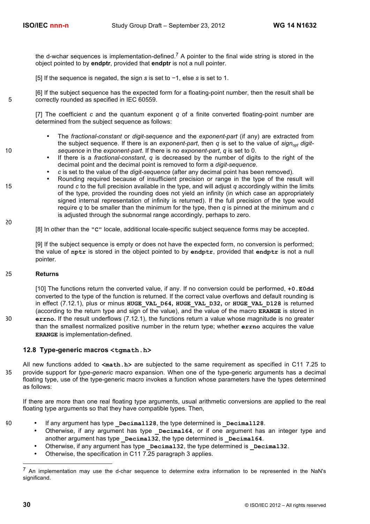the d-wchar sequences is implementation-defined.<sup>7</sup> A pointer to the final wide string is stored in the object pointed to by **endptr**, provided that **endptr** is not a null pointer.

[5] If the sequence is negated, the sign *s* is set to −1, else *s* is set to 1.

[6] If the subject sequence has the expected form for a floating-point number, then the result shall be 5 correctly rounded as specified in IEC 60559.

[7] The coefficient *c* and the quantum exponent *q* of a finite converted floating-point number are determined from the subject sequence as follows:

- The *fractional-constant* or *digit-sequence* and the *exponent-part* (if any) are extracted from the subject sequence. If there is an *exponent-part*, then *q* is set to the value of *sign<sub>opt</sub> digit-*10 *sequence* in the *exponent-part*. If there is no *exponent-part*, *q* is set to 0.
	- If there is a *fractional-constant*, *q* is decreased by the number of digits to the right of the decimal point and the decimal point is removed to form a *digit-sequence*.
	- *c* is set to the value of the *digit-sequence* (after any decimal point has been removed).
- Rounding required because of insufficient precision or range in the type of the result will 15 round *c* to the full precision available in the type, and will adjust *q* accordingly within the limits of the type, provided the rounding does not yield an infinity (in which case an appropriately signed internal representation of infinity is returned). If the full precision of the type would require *q* to be smaller than the minimum for the type, then *q* is pinned at the minimum and *c* is adjusted through the subnormal range accordingly, perhaps to zero.

[8] In other than the **"C"** locale, additional locale-specific subject sequence forms may be accepted.

[9] If the subject sequence is empty or does not have the expected form, no conversion is performed; the value of **nptr** is stored in the object pointed to by **endptr**, provided that **endptr** is not a null pointer.

### 25 **Returns**

20

[10] The functions return the converted value, if any. If no conversion could be performed, **+0.E0dd** converted to the type of the function is returned. If the correct value overflows and default rounding is in effect (7.12.1), plus or minus **HUGE\_VAL\_D64, HUGE\_VAL\_D32,** or **HUGE\_VAL\_D128** is returned (according to the return type and sign of the value), and the value of the macro **ERANGE** is stored in 30 **errno.** If the result underflows (7.12.1), the functions return a value whose magnitude is no greater than the smallest normalized positive number in the return type; whether **errno** acquires the value **ERANGE** is implementation-defined.

# **12.8 Type-generic macros <tgmath.h>**

All new functions added to **<math.h>** are subjected to the same requirement as specified in C11 7.25 to 35 provide support for *type-generic* macro expansion. When one of the type-generic arguments has a decimal floating type, use of the type-generic macro invokes a function whose parameters have the types determined as follows:

If there are more than one real floating type arguments, usual arithmetic conversions are applied to the real floating type arguments so that they have compatible types. Then,

- 
- <sup>40</sup> If any argument has type **Decimal128**, the type determined is **Decimal128**.
	- Otherwise, if any argument has type **Decimal64**, or if one argument has an integer type and another argument has type **Decimal32**, the type determined is **Decimal64**.
	- Otherwise, if any argument has type  $\overline{Decimal32}$ , the type determined is  $\overline{Decimal32}$ .
	- Otherwise, the specification in C11 7.25 paragraph 3 applies.

 <sup>7</sup> An implementation may use the d-char sequence to determine extra information to be represented in the NaN's significand.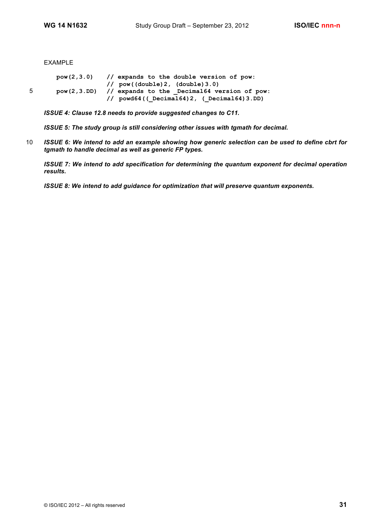EXAMPLE

**pow(2,3.0) // expands to the double version of pow: // pow((double)2, (double)3.0)** 5 **pow(2,3.DD) // expands to the \_Decimal64 version of pow: // powd64((\_Decimal64)2, (\_Decimal64)3.DD)**

*ISSUE 4: Clause 12.8 needs to provide suggested changes to C11.*

*ISSUE 5: The study group is still considering other issues with tgmath for decimal.*

10 *ISSUE 6: We intend to add an example showing how generic selection can be used to define cbrt for tgmath to handle decimal as well as generic FP types.*

*ISSUE 7: We intend to add specification for determining the quantum exponent for decimal operation results.*

*ISSUE 8: We intend to add guidance for optimization that will preserve quantum exponents.*